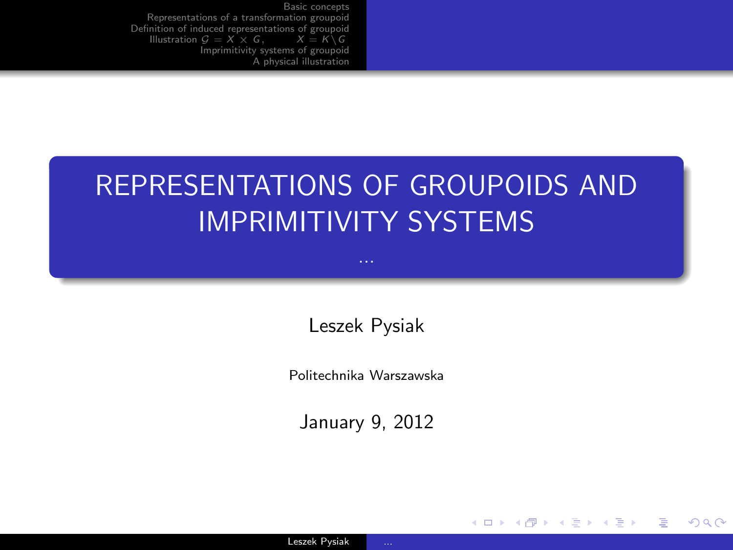## REPRESENTATIONS OF GROUPOIDS AND IMPRIMITIVITY SYSTEMS

...

Leszek Pysiak

Politechnika Warszawska

January 9, 2012

<span id="page-0-0"></span>G.

イロメ イ母メ イヨメ イヨメー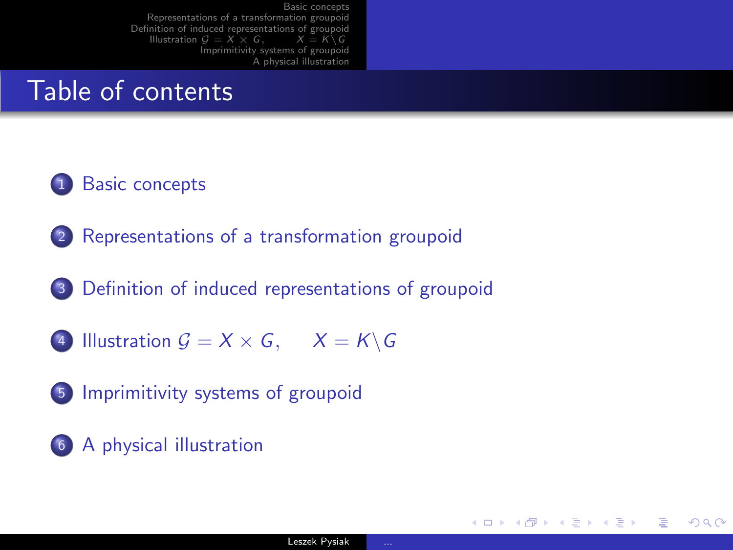## Table of contents

#### <sup>1</sup> [Basic concepts](#page-4-0)

- <sup>2</sup> [Representations of a transformation groupoid](#page-18-0)
- <sup>3</sup> [Definition of induced representations of groupoid](#page-24-0)
- 4 [Illustration](#page-27-0)  $G = X \times G$ ,  $X = K \backslash G$
- <sup>5</sup> [Imprimitivity systems of groupoid](#page-35-0)
- <sup>6</sup> [A physical illustration](#page-48-0)

KED KAP KED KED E VAA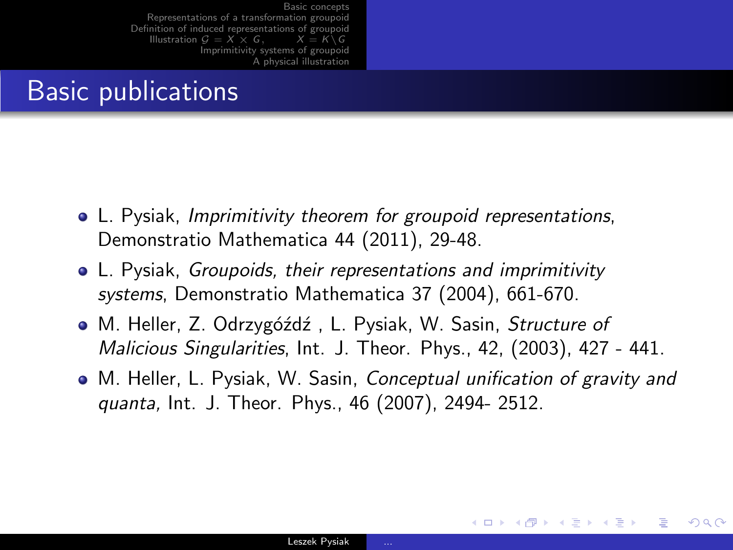## Basic publications

- L. Pysiak, Imprimitivity theorem for groupoid representations, Demonstratio Mathematica 44 (2011), 29-48.
- L. Pysiak, Groupoids, their representations and imprimitivity systems, Demonstratio Mathematica 37 (2004), 661-670.
- M. Heller, Z. Odrzygóźdź, L. Pysiak, W. Sasin, Structure of Malicious Singularities, Int. J. Theor. Phys., 42, (2003), 427 - 441.
- M. Heller, L. Pysiak, W. Sasin, *Conceptual unification of gravity and* quanta, Int. J. Theor. Phys., 46 (2007), 2494- 2512.

メロメ メ押メ メミメ メミメ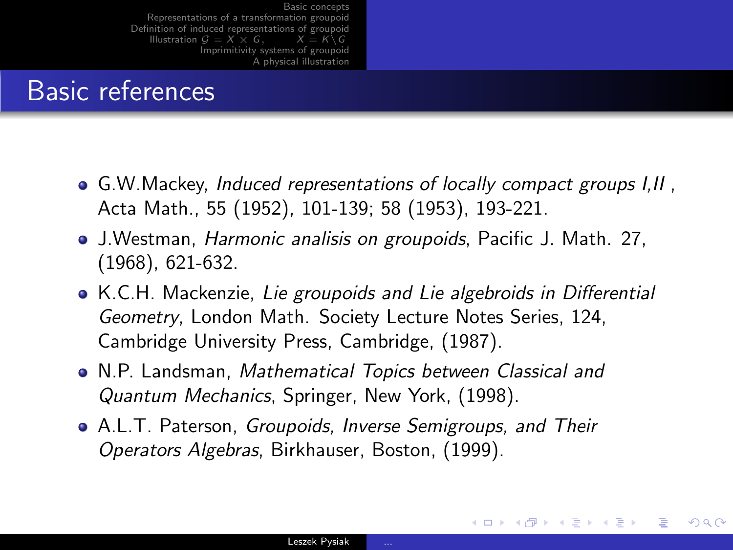## Basic references

- G.W.Mackey, Induced representations of locally compact groups I, II, Acta Math., 55 (1952), 101-139; 58 (1953), 193-221.
- J.Westman, Harmonic analisis on groupoids, Pacific J. Math. 27, (1968), 621-632.
- K.C.H. Mackenzie, Lie groupoids and Lie algebroids in Differential Geometry, London Math. Society Lecture Notes Series, 124, Cambridge University Press, Cambridge, (1987).
- N.P. Landsman, Mathematical Topics between Classical and Quantum Mechanics, Springer, New York, (1998).
- A.L.T. Paterson, Groupoids, Inverse Semigroups, and Their Operators Algebras, Birkhauser, Boston, (1999).

イロメ イ何メ イヨメ イヨメー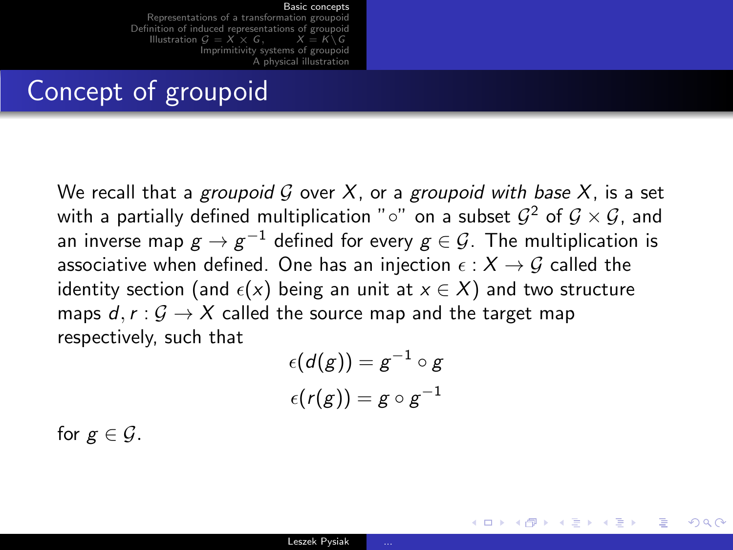[Representations of a transformation groupoid](#page-18-0) [Definition of induced representations of groupoid](#page-24-0)<br>Illustration  $G = X \times G$ ,  $X = K \setminus G$ [Illustration](#page-27-0)  $G = X \times G$ . [Imprimitivity systems of groupoid](#page-35-0) [A physical illustration](#page-48-0)

### Concept of groupoid

We recall that a groupoid G over X, or a groupoid with base X, is a set with a partially defined multiplication "∘" on a subset  $\mathcal{G}^2$  of  $\mathcal{G} \times \mathcal{G}$ , and an inverse map  $\mathcal{g} \to \mathcal{g}^{-1}$  defined for every  $\mathcal{g} \in \mathcal{G}$ . The multiplication is associative when defined. One has an injection  $\epsilon : X \to G$  called the identity section (and  $\epsilon(x)$  being an unit at  $x \in X$ ) and two structure maps  $d, r : \mathcal{G} \rightarrow X$  called the source map and the target map respectively, such that

$$
\epsilon(d(g)) = g^{-1} \circ g
$$
  

$$
\epsilon(r(g)) = g \circ g^{-1}
$$

イロメ イ母メ イヨメ イヨメー

<span id="page-4-0"></span> $209$ 

for  $g \in \mathcal{G}$ .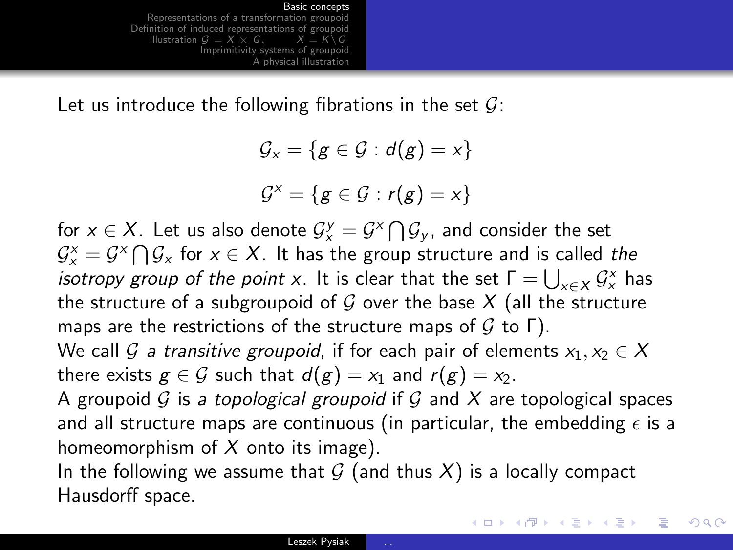Let us introduce the following fibrations in the set  $\mathcal{G}$ :

 $\mathcal{G}_x = \{g \in \mathcal{G} : d(g) = x\}$  $\mathcal{G}^{\times} = \{ g \in \mathcal{G} : r(g) = x \}$ 

for  $x\in X$ . Let us also denote  $\mathcal{G}^{\text{y}}_{{\text{x}}}=\mathcal{G}^{{\text{x}}} \bigcap \mathcal{G}_{\text{y}}$ , and consider the set  $\mathcal{G}_{{\sf x}}^{{\sf x}}=\mathcal{G}^{{\sf x}}\bigcap\mathcal{G}_{{\sf x}}$  for  ${\sf x}\in{\sf X}.$  It has the group structure and is called *the isotropy group of the point* x. It is clear that the set  $\Gamma = \bigcup_{x \in X} \mathcal{G}_x^{\times}$  has the structure of a subgroupoid of  $G$  over the base  $X$  (all the structure maps are the restrictions of the structure maps of  $G$  to  $\Gamma$ ). We call G a transitive groupoid, if for each pair of elements  $x_1, x_2 \in X$ there exists  $g \in \mathcal{G}$  such that  $d(g) = x_1$  and  $r(g) = x_2$ . A groupoid  $G$  is a topological groupoid if  $G$  and  $X$  are topological spaces and all structure maps are continuous (in particular, the embedding  $\epsilon$  is a homeomorphism of  $X$  onto its image).

In the following we assume that  $G$  (and thus  $X$ ) is a locally compact Hausdorff space.

**KORK EXTERNS OR A BY A GRA**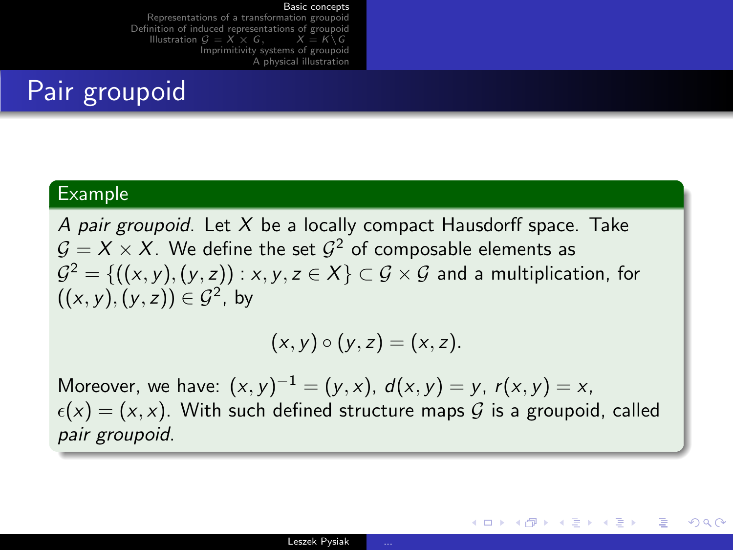[Representations of a transformation groupoid](#page-18-0) [Definition of induced representations of groupoid](#page-24-0)<br>Illustration  $G = X \times G$ ,  $X = K \setminus G$ [Illustration](#page-27-0)  $G = X \times G$ . [Imprimitivity systems of groupoid](#page-35-0) [A physical illustration](#page-48-0)

## Pair groupoid

#### Example

A pair groupoid. Let  $X$  be a locally compact Hausdorff space. Take  $\mathcal{G} = X \times X.$  We define the set  $\mathcal{G}^2$  of composable elements as  ${\cal G}^{2}=\{((x,y),(y,z)) : x,y,z \in X\} \subset {\cal G}\times {\cal G}$  and a multiplication, for  $((x, y), (y, z)) \in \mathcal{G}^2$ , by

$$
(x,y)\circ (y,z)=(x,z).
$$

Moreover, we have:  $(x, y)^{-1} = (y, x)$ ,  $d(x, y) = y$ ,  $r(x, y) = x$ ,  $\epsilon(x) = (x, x)$ . With such defined structure maps G is a groupoid, called pair groupoid.

イロン イ何ン イヨン イヨン・ヨー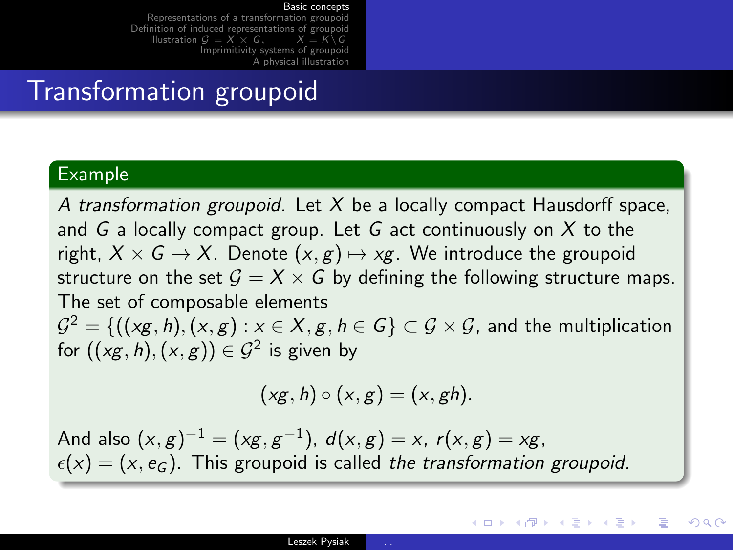[Representations of a transformation groupoid](#page-18-0) [Definition of induced representations of groupoid](#page-24-0)<br>Illustration  $G = X \times G$ ,  $X = K \setminus G$ [Illustration](#page-27-0)  $G = X \times G$ . [Imprimitivity systems of groupoid](#page-35-0) [A physical illustration](#page-48-0)

### Transformation groupoid

#### Example

A transformation groupoid. Let  $X$  be a locally compact Hausdorff space, and  $G$  a locally compact group. Let  $G$  act continuously on  $X$  to the right,  $X \times G \rightarrow X$ . Denote  $(x, g) \mapsto xg$ . We introduce the groupoid structure on the set  $G = X \times G$  by defining the following structure maps. The set of composable elements  $\mathcal{G}^2 = \{((\mathsf{x} \mathsf{g}, \mathsf{h}), (\mathsf{x}, \mathsf{g}): \mathsf{x} \in \mathsf{X}, \mathsf{g}, \mathsf{h} \in \mathsf{G}\} \subset \mathcal{G} \times \mathcal{G}$ , and the multiplication for  $((\mathsf{x} \mathsf{g}, \mathsf{h}),(\mathsf{x},\mathsf{g})) \in \mathcal{G}^2$  is given by

$$
(xg,h)\circ(x,g)=(x,gh).
$$

メロメ メ都 メメ きょうくぼう こぼし

 $\Omega$ 

And also  $(x, g)^{-1} = (xg, g^{-1}), d(x, g) = x, r(x, g) = xg$ ,  $\epsilon(x) = (x, e_G)$ . This groupoid is called the transformation groupoid.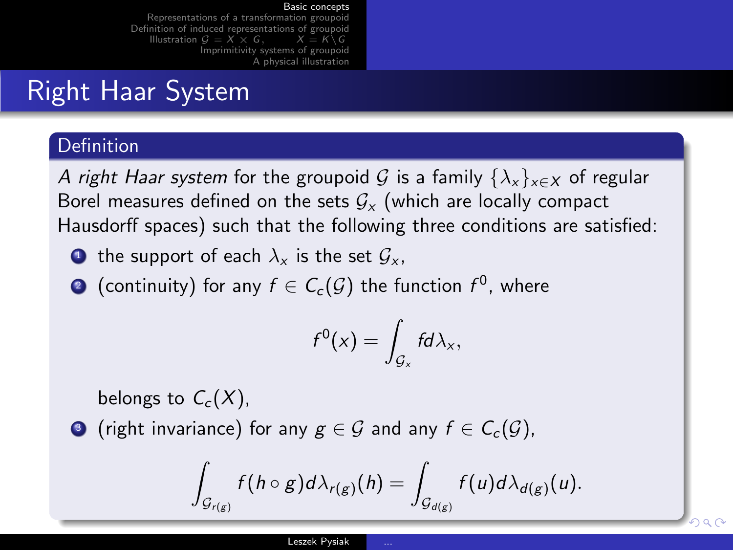[Representations of a transformation groupoid](#page-18-0) [Definition of induced representations of groupoid](#page-24-0) [Illustration](#page-27-0)  $G = X \times G$ . [Imprimitivity systems of groupoid](#page-35-0) [A physical illustration](#page-48-0)

## Right Haar System

#### **Definition**

A right Haar system for the groupoid G is a family  $\{\lambda_x\}_{x\in X}$  of regular Borel measures defined on the sets  $G_x$  (which are locally compact Hausdorff spaces) such that the following three conditions are satisfied:

- **1** the support of each  $\lambda_x$  is the set  $\mathcal{G}_x$ ,
- $\bullet$  (continuity) for any  $f\in \mathcal{C}_{c}(\mathcal{G})$  the function  $f^{0}$ , where

$$
f^0(x)=\int_{\mathcal{G}_x}fd\lambda_x,
$$

belongs to  $C_c(X)$ ,

**3** (right invariance) for any  $g \in \mathcal{G}$  and any  $f \in C_c(\mathcal{G})$ ,

$$
\int_{\mathcal{G}_{r(g)}} f(h \circ g) d\lambda_{r(g)}(h) = \int_{\mathcal{G}_{d(g)}} f(u) d\lambda_{d(g)}(u).
$$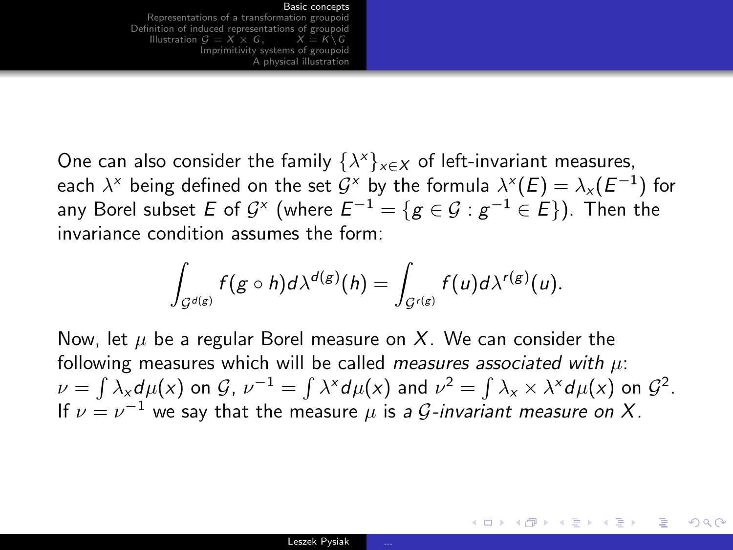[Representations of a transformation groupoid](#page-18-0) [Definition of induced representations of groupoid](#page-24-0)<br>Illustration  $G = X \times G$ ,  $X = K \setminus G$ [Illustration](#page-27-0)  $G = X \times G$ . [Imprimitivity systems of groupoid](#page-35-0) [A physical illustration](#page-48-0)

One can also consider the family  $\{\lambda^x\}_{x\in\mathcal{X}}$  of left-invariant measures, each  $\lambda^\times$  being defined on the set  $\mathcal{G}^\times$  by the formula  $\lambda^{\times}(E)=\lambda_{\times}(E^{-1})$  for any Borel subset  $E$  of  $\mathcal{G}^{\times}$  (where  $E^{-1}=\{g\in\mathcal{G}: g^{-1}\in E\}).$  Then the invariance condition assumes the form:

$$
\int_{\mathcal{G}^{d(g)}} f(g \circ h) d\lambda^{d(g)}(h) = \int_{\mathcal{G}^{r(g)}} f(u) d\lambda^{r(g)}(u).
$$

Now, let  $\mu$  be a regular Borel measure on X. We can consider the following measures which will be called *measures associated with*  $\mu$ :  $\nu=\int \lambda_{\mathsf{x}}d\mu(\mathsf{x})$  on  $\mathcal{G}$ ,  $\nu^{-1}=\int \lambda^{\mathsf{x}}d\mu(\mathsf{x})$  and  $\nu^2=\int \lambda_{\mathsf{x}}\times \lambda^{\mathsf{x}}d\mu(\mathsf{x})$  on  $\mathcal{G}^2$ . If  $\nu = \nu^{-1}$  we say that the measure  $\mu$  is a *G*-invariant measure on X.

イロメ イ何 メ ミ メ ス ヨ メ ニョー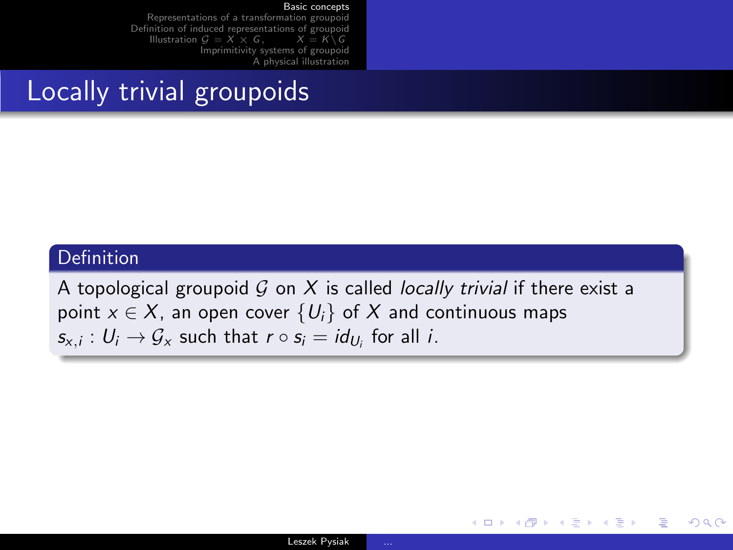[Representations of a transformation groupoid](#page-18-0) [Definition of induced representations of groupoid](#page-24-0)<br>Illustration  $G = X \times G$ ,  $X = K \setminus G$ [Illustration](#page-27-0)  $G = X \times G$ . [Imprimitivity systems of groupoid](#page-35-0) [A physical illustration](#page-48-0)

## Locally trivial groupoids

#### Definition

A topological groupoid  $G$  on  $X$  is called *locally trivial* if there exist a point  $x \in X$ , an open cover  $\{U_i\}$  of X and continuous maps  $s_{x,i}: U_i \to \mathcal{G}_x$  such that  $r \circ s_i = id_{U_i}$  for all i.

イロメ イ母メ イヨメ イヨメー

目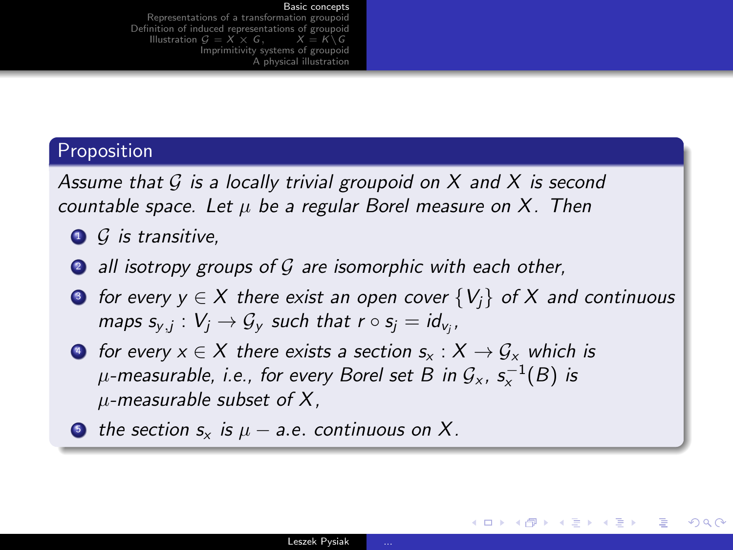[Representations of a transformation groupoid](#page-18-0) [Definition of induced representations of groupoid](#page-24-0)<br>Illustration  $G = X \times G$ ,  $X = K \backslash G$ [Illustration](#page-27-0)  $G = X \times G$ . [Imprimitivity systems of groupoid](#page-35-0) [A physical illustration](#page-48-0)

#### Proposition

Assume that  $G$  is a locally trivial groupoid on  $X$  and  $X$  is second countable space. Let  $\mu$  be a regular Borel measure on X. Then

- $\bigcirc$  G is transitive.
- $\bullet$  all isotropy groups of  $\mathcal G$  are isomorphic with each other,
- **3** for every  $y \in X$  there exist an open cover  $\{V_i\}$  of X and continuous maps  $s_{y,j}: V_j \to \mathcal{G}_y$  such that  $r \circ s_j = id_{v_j},$
- $\bullet$  for every  $x \in X$  there exists a section  $s_x : X \to \mathcal{G}_x$  which is  $\mu$ -measurable, i.e., for every Borel set B in  $\mathcal{G}_{\times}$ ,  $\mathsf{s}_{\times}^{-1}(B)$  is  $\mu$ -measurable subset of X,
- **5** the section  $s_x$  is  $\mu a.e.$  continuous on X.

イロン イ何ン イヨン イヨン・ヨー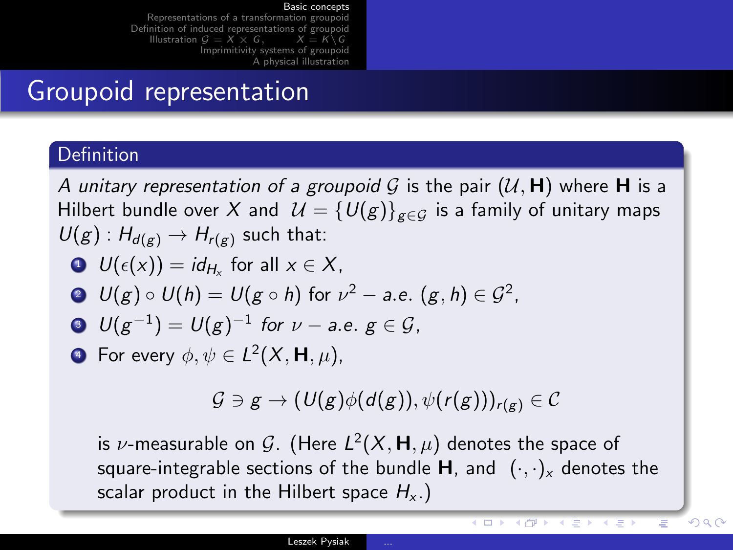[Representations of a transformation groupoid](#page-18-0) [Definition of induced representations of groupoid](#page-24-0) [Illustration](#page-27-0)  $G = X \times G$ . [Imprimitivity systems of groupoid](#page-35-0) [A physical illustration](#page-48-0)

## Groupoid representation

#### Definition

A unitary representation of a groupoid G is the pair  $(U, H)$  where H is a Hilbert bundle over X and  $\mathcal{U} = \{U(g)\}_{g \in G}$  is a family of unitary maps  $U(g)$ :  $H_{d(g)} \to H_{r(g)}$  such that:

$$
\bullet \ \ U(\epsilon(x))=id_{H_x} \text{ for all } x\in X,
$$

$$
\bullet \ \ U(g) \circ U(h) = U(g \circ h) \text{ for } \nu^2 - a.e. \ (g,h) \in \mathcal{G}^2.
$$

$$
\bullet \ \ U(g^{-1})=U(g)^{-1} \ \text{for} \ \nu-\text{a.e.} \ g\in \mathcal{G},
$$

**•** For every  $\phi, \psi \in L^2(X, \mathsf{H}, \mu)$ ,

$$
\mathcal{G} \ni g \to (\mathit{U}(g)\phi(d(g)), \psi(r(g)))_{r(g)} \in \mathcal{C}
$$

is  $\nu$ -measurable on  ${\mathcal G}.$  (Here  $L^2(X,{\mathsf{H}},\mu)$  denotes the space of square-integrable sections of the bundle **H**, and  $(\cdot, \cdot)_x$  denotes the scalar product in the Hilbert space  $H_{x}$ .)

イヴァ イミア イミア

4 D F

つへへ

∍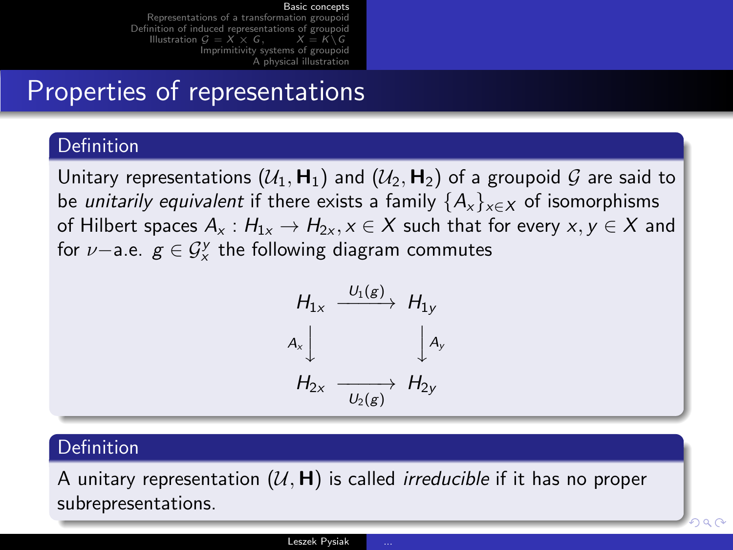[Representations of a transformation groupoid](#page-18-0) [Definition of induced representations of groupoid](#page-24-0)<br>Illustration  $G = X \times G$ ,  $X = K \backslash G$ [Illustration](#page-27-0)  $G = X \times G$ . [Imprimitivity systems of groupoid](#page-35-0) [A physical illustration](#page-48-0)

### Properties of representations

#### **Definition**

Unitary representations  $(U_1, H_1)$  and  $(U_2, H_2)$  of a groupoid G are said to be *unitarily equivalent* if there exists a family  $\{A_x\}_{x\in X}$  of isomorphisms of Hilbert spaces  $A_x : H_{1x} \to H_{2x}$ ,  $x \in X$  such that for every  $x, y \in X$  and for  $\nu-$ a.e.  $g\in \mathcal{G}^{\mathcal{Y}}_{\mathsf{x}}$  the following diagram commutes



#### Definition

A unitary representation  $(U, H)$  is called *irreducible* if it has no proper subrepresentations.

nar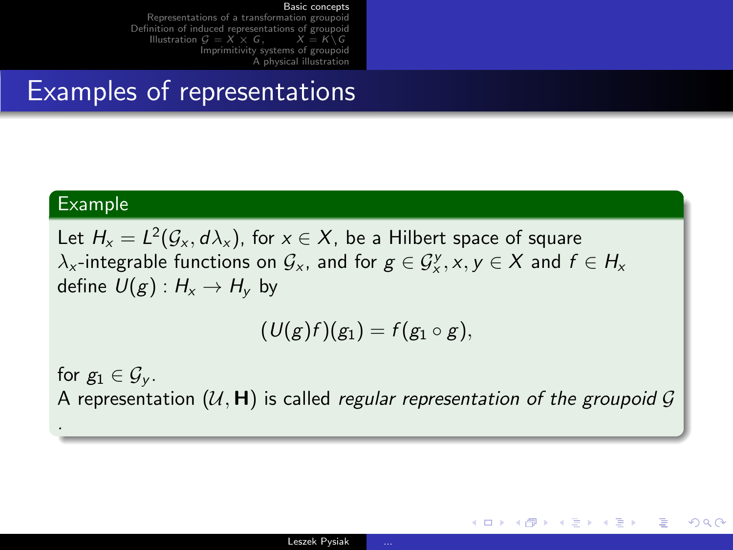[Representations of a transformation groupoid](#page-18-0) [Definition of induced representations of groupoid](#page-24-0)<br>Illustration  $G = X \times G$ ,  $X = K \backslash G$ [Illustration](#page-27-0)  $G = X \times G$ . [Imprimitivity systems of groupoid](#page-35-0) [A physical illustration](#page-48-0)

### Examples of representations

#### Example

.

Let  $H_{\mathsf{x}} = L^2(\mathcal{G}_{\mathsf{x}},d\lambda_{\mathsf{x}}),$  for  $\mathsf{x} \in \mathsf{X},$  be a Hilbert space of square  $\lambda_{x}$ -integrable functions on  $\mathcal{G}_{x}$ , and for  $g\in \mathcal{G}_{x}^{y}, x,y\in X$  and  $f\in H_{x}$ define  $U(g) : H_x \to H_y$  by

$$
(\mathcal{U}(g)f)(g_1)=f(g_1\circ g),
$$

for  $g_1 \in \mathcal{G}_v$ . A representation  $(U, H)$  is called regular representation of the groupoid G

イロメ イ何メ イヨメ イヨメーヨ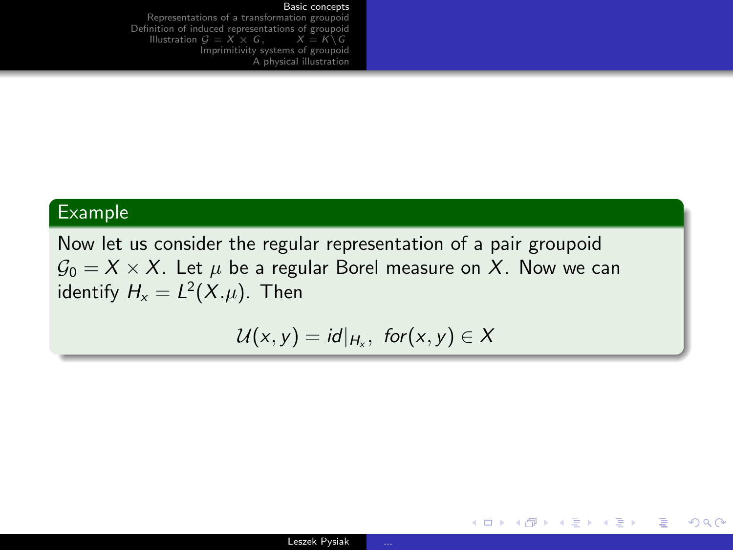[Representations of a transformation groupoid](#page-18-0) [Definition of induced representations of groupoid](#page-24-0)<br>Illustration  $G = X \times G$ ,  $X = K \backslash G$ [Illustration](#page-27-0)  $G = X \times G$ . [Imprimitivity systems of groupoid](#page-35-0) [A physical illustration](#page-48-0)

#### Example

Now let us consider the regular representation of a pair groupoid  $\mathcal{G}_0 = X \times X$ . Let  $\mu$  be a regular Borel measure on X. Now we can identify  $H_{\mathsf{x}} = L^2(X.\mu).$  Then

$$
\mathcal{U}(x,y)=id|_{H_x}, \text{ for } (x,y)\in X
$$

イロメ イ母メ イヨメ イヨメー

目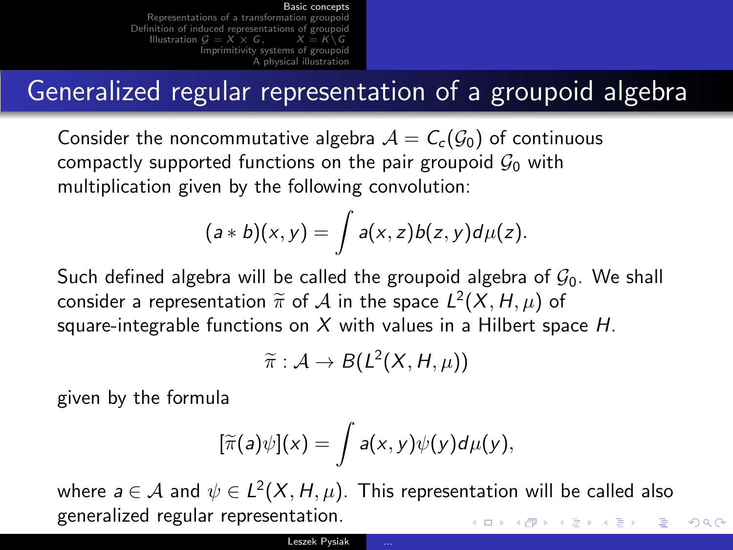[Representations of a transformation groupoid](#page-18-0) [Definition of induced representations of groupoid](#page-24-0)<br>Illustration  $G = X \times G$ ,  $X = K \setminus G$ [Illustration](#page-27-0)  $G = X \times G$ . [Imprimitivity systems of groupoid](#page-35-0) [A physical illustration](#page-48-0)

## Generalized regular representation of a groupoid algebra

Consider the noncommutative algebra  $A = C_c(G_0)$  of continuous compactly supported functions on the pair groupoid  $\mathcal{G}_0$  with multiplication given by the following convolution:

$$
(a * b)(x, y) = \int a(x, z) b(z, y) d\mu(z).
$$

Such defined algebra will be called the groupoid algebra of  $\mathcal{G}_0$ . We shall consider a representation  $\widetilde{\pi}$  of  $\mathcal A$  in the space  $L^2(X, H, \mu)$  of square integrable functions on  $X$  with volues in a Hilbert spa square-integrable functions on  $X$  with values in a Hilbert space  $H$ .

$$
\widetilde{\pi}: \mathcal{A} \to B(L^2(X, H, \mu))
$$

given by the formula

$$
[\widetilde{\pi}(a)\psi](x) = \int a(x,y)\psi(y)d\mu(y),
$$

where  $a \in \mathcal{A}$  and  $\psi \in L^2(X,H,\mu).$  This representation will be called also generalized regular representation. イロト イ押 トイヨ トイヨ トー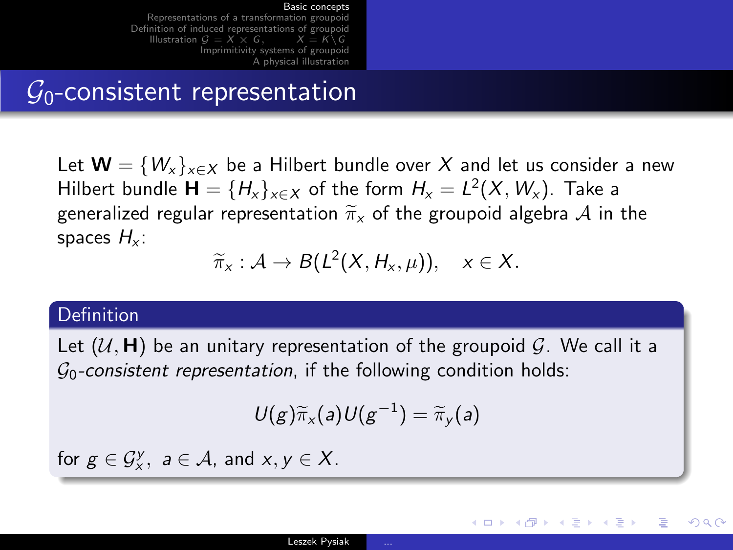[Representations of a transformation groupoid](#page-18-0) [Definition of induced representations of groupoid](#page-24-0)<br>Illustration  $G = X \times G$ ,  $X = K \setminus G$ [Illustration](#page-27-0)  $G = X \times G$ . [Imprimitivity systems of groupoid](#page-35-0) [A physical illustration](#page-48-0)

### $G_0$ -consistent representation

Let  $\mathbf{W} = \{W_x\}_{x \in X}$  be a Hilbert bundle over X and let us consider a new Hilbert bundle  $\mathbf{H} = \{H_x\}_{x \in X}$  of the form  $H_x = L^2(X, W_x)$ . Take a generalized regular representation  $\widetilde{\pi}_{x}$  of the groupoid algebra A in the spaces  $H_x$ :

$$
\widetilde{\pi}_x : A \to B(L^2(X, H_x, \mu)), \quad x \in X.
$$

#### Definition

Let  $(U, H)$  be an unitary representation of the groupoid G. We call it a  $\mathcal{G}_0$ -consistent representation, if the following condition holds:

$$
U(g)\widetilde{\pi}_x(a)U(g^{-1})=\widetilde{\pi}_y(a)
$$

メロメ メ都 メメ きょうくぼ メー

<span id="page-17-0"></span> $209$ 

for  $g \in \mathcal{G}_x^y$ ,  $a \in \mathcal{A}$ , and  $x, y \in \mathcal{X}$ .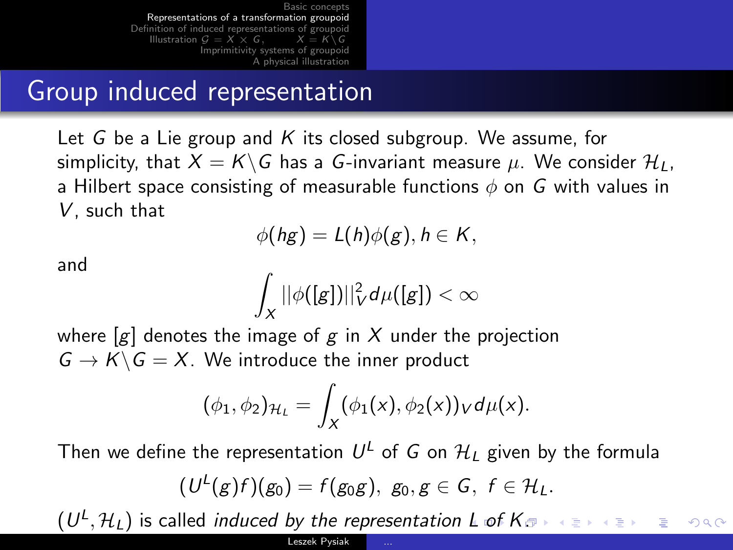## Group induced representation

Let G be a Lie group and K its closed subgroup. We assume, for simplicity, that  $X = K\backslash G$  has a G-invariant measure  $\mu$ . We consider  $\mathcal{H}_I$ , a Hilbert space consisting of measurable functions  $\phi$  on G with values in V, such that

$$
\phi(hg)=L(h)\phi(g), h\in K,
$$

and

$$
\int_X ||\phi([g])||_V^2 d\mu([g]) < \infty
$$

where  $[g]$  denotes the image of g in X under the projection  $G \to K \backslash G = X$ . We introduce the inner product

<span id="page-18-0"></span>
$$
(\phi_1,\phi_2)_{\mathcal{H}_L}=\int_X(\phi_1(x),\phi_2(x))_V d\mu(x).
$$

Then we define the representation  $U^L$  of  $G$  on  $\mathcal{H}_L$  given by the formula  $(\mathit{U}^{L}(g)f)(g_{0})=f(g_{0}g),\,\,g_{0},g\in G,\,\,f\in\mathcal{H}_{L}.$ 

 $(U^{\mathsf{L}},\mathcal{H}_{\mathsf{L}})$  is called *induced by the representation [L](#page-17-0) [of](#page-19-0) [K](#page-17-0)*[.](#page-18-0) G.  $2990$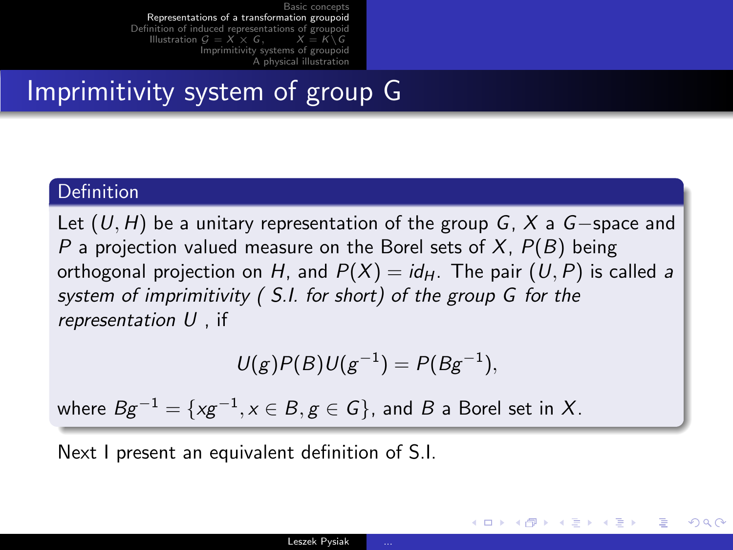## Imprimitivity system of group G

#### Definition

Let  $(U, H)$  be a unitary representation of the group G, X a G-space and P a projection valued measure on the Borel sets of  $X$ ,  $P(B)$  being orthogonal projection on H, and  $P(X) = id_H$ . The pair  $(U, P)$  is called a system of imprimitivity ( S.I. for short) of the group G for the representation U , if

$$
U(g)P(B)U(g^{-1})=P(Bg^{-1}),
$$

where  $Bg^{-1} = \{x g^{-1}, x \in B, g \in G\}$ , and  $B$  a Borel set in  $X$ .

Next I present an equivalent definition of S.I.

<span id="page-19-0"></span>イロメ イ母メ イヨメ イヨメーヨー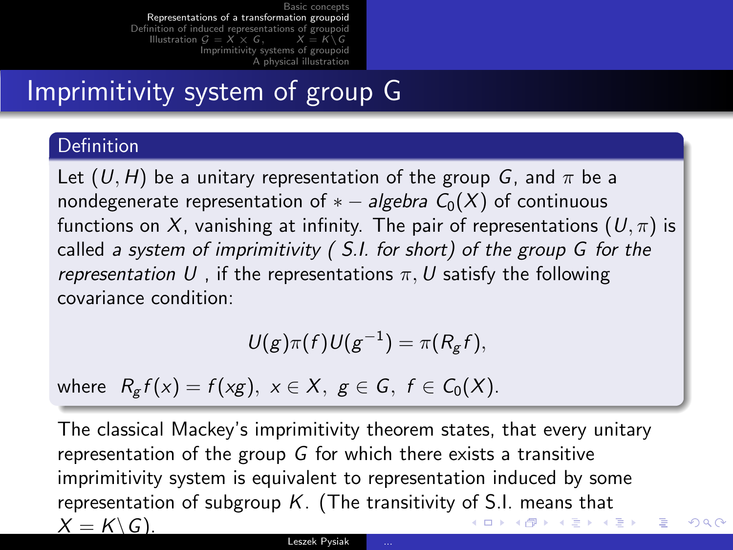## Imprimitivity system of group G

#### **Definition**

Let  $(U, H)$  be a unitary representation of the group G, and  $\pi$  be a nondegenerate representation of  $* - algebra C_0(X)$  of continuous functions on X, vanishing at infinity. The pair of representations  $(U, \pi)$  is called a system of imprimitivity ( S.I. for short) of the group G for the representation U, if the representations  $\pi$ , U satisfy the following covariance condition:

$$
U(g)\pi(f)U(g^{-1})=\pi(R_gf),
$$

where  $R_{\sigma} f(x) = f(xg), x \in X, g \in G, f \in C_0(X)$ .

The classical Mackey's imprimitivity theorem states, that every unitary representation of the group  $G$  for which there exists a transitive imprimitivity system is equivalent to representation induced by some representation of subgroup  $K$ . (The transitivity of S.I. means that  $X = K \backslash G.$ イロメ イ母メ イヨメ イヨメーヨー

 $QQ$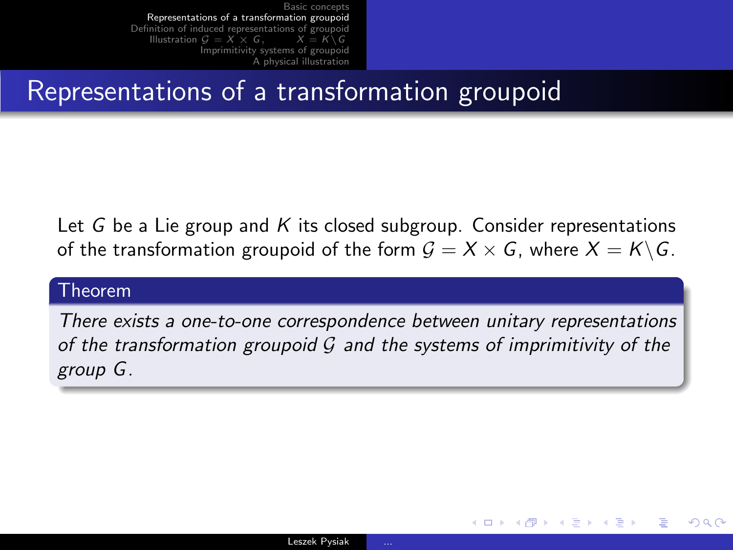## Representations of a transformation groupoid

Let G be a Lie group and K its closed subgroup. Consider representations of the transformation groupoid of the form  $G = X \times G$ , where  $X = K \backslash G$ .

#### Theorem

There exists a one-to-one correspondence between unitary representations of the transformation groupoid  $G$  and the systems of imprimitivity of the group G.

→ 何 ▶ → ヨ ▶ → ヨ ▶

 $\leftarrow$   $\Box$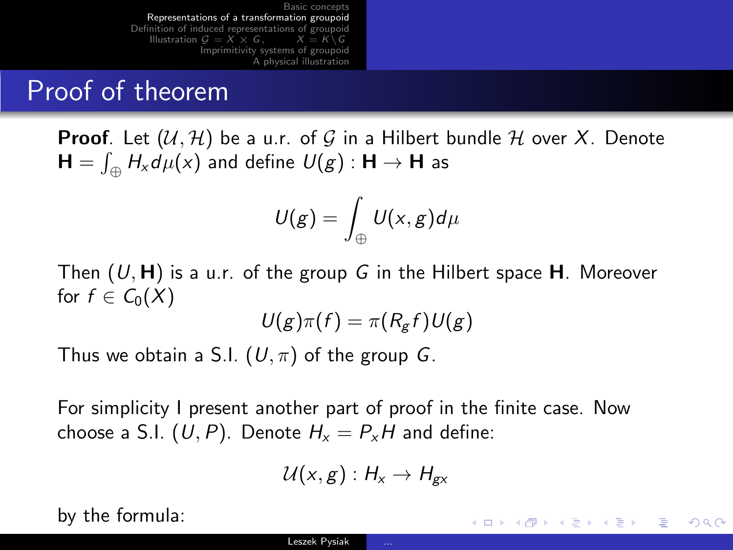## Proof of theorem

**Proof.** Let  $(\mathcal{U}, \mathcal{H})$  be a u.r. of G in a Hilbert bundle H over X. Denote  $\mathsf{H}=\int_{\oplus}H_{\mathsf{x}}d\mu(\mathsf{x})$  and define  $\mathsf{\mathit{U}}(\mathsf{g}):\mathsf{H}\rightarrow\mathsf{H}$  as

$$
U(g)=\int_{\oplus}U(x,g)d\mu
$$

Then  $(U, H)$  is a u.r. of the group G in the Hilbert space H. Moreover for  $f \in C_0(X)$ 

$$
U(g)\pi(f)=\pi(R_gf)U(g)
$$

Thus we obtain a S.I.  $(U, \pi)$  of the group G.

For simplicity I present another part of proof in the finite case. Now choose a S.I.  $(U, P)$ . Denote  $H_x = P_x H$  and define:

$$
\mathcal{U}(x,g):H_x\to H_{gx}
$$

K ロ ▶ K @ ▶ K 경 ▶ K 경 ▶ 《 경 »

 $QQQ$ 

by the formula: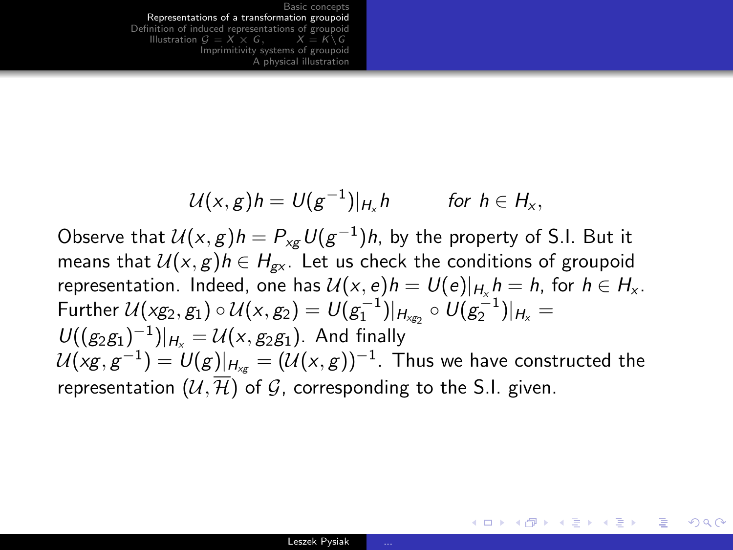$$
U(x,g)h = U(g^{-1})|_{H_x}h \quad \text{for } h \in H_x,
$$

Observe that  $\mathcal{U}(x,g)h = P_{\mathsf{x} \mathsf{g}} \, \mathcal{U}(\mathsf{g}^{-1})h$ , by the property of S.I. But it means that  $U(x, g)h \in H_{\alpha x}$ . Let us check the conditions of groupoid representation. Indeed, one has  $U(x, e)h = U(e)|_{H_x} h = h$ , for  $h \in H_x$ . Further  $\mathcal{U}(xg_2,g_1) \circ \mathcal{U}(x,g_2) = \mathcal{U}(g_1^{-1})|_{H_{xg_2}} \circ \mathcal{U}(g_2^{-1})|_{H_x} =$  $U((g_2g_1)^{-1})|_{H_x} = U(x,g_2g_1)$ . And finally  $\mathcal{U}(\mathsf{x} \mathsf{g}, \mathsf{g}^{-1}) = \mathcal{U}(\mathsf{g})|_{\mathsf{H}_{\mathsf{x} \mathsf{g}}} = (\mathcal{U}(\mathsf{x}, \mathsf{g}))^{-1}.$  Thus we have constructed the representation  $(U, \overline{\mathcal{H}})$  of  $\mathcal{G}$ , corresponding to the S.I. given.

イロン イ何ン イヨン イヨン・ヨー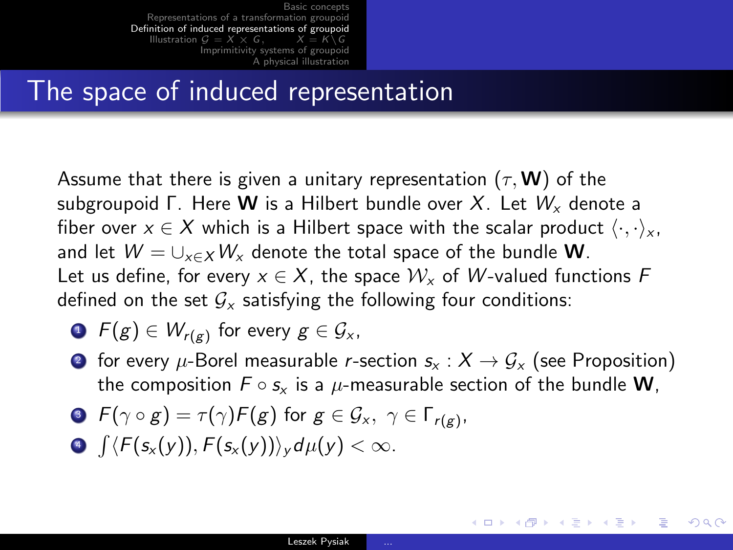### The space of induced representation

Assume that there is given a unitary representation ( $\tau$ , **W**) of the subgroupoid Γ. Here **W** is a Hilbert bundle over X. Let  $W_x$  denote a fiber over  $x \in X$  which is a Hilbert space with the scalar product  $\langle \cdot, \cdot \rangle_x$ , and let  $W = \bigcup_{x \in X} W_x$  denote the total space of the bundle W. Let us define, for every  $x \in X$ , the space  $\mathcal{W}_x$  of W-valued functions F defined on the set  $G<sub>x</sub>$  satisfying the following four conditions:

• 
$$
F(g) \in W_{r(g)}
$$
 for every  $g \in \mathcal{G}_{x}$ ,

**2** for every  $\mu$ -Borel measurable *r*-section  $s_x : X \to G_x$  (see Proposition) the composition  $F \circ s_x$  is a  $\mu$ -measurable section of the bundle **W**,

∢ ロ ⊁ ( 何 ) ( ミ ) ( ミ ) ( ニ )

<span id="page-24-0"></span> $\Omega$ 

• 
$$
F(\gamma \circ g) = \tau(\gamma)F(g)
$$
 for  $g \in \mathcal{G}_x$ ,  $\gamma \in \Gamma_{r(g)}$ ,

 $\textbf{P} \int \langle F(\textbf{s}_\text{x}(y)), F(\textbf{s}_\text{x}(y)) \rangle_\text{y} d\mu(\text{y}) < \infty.$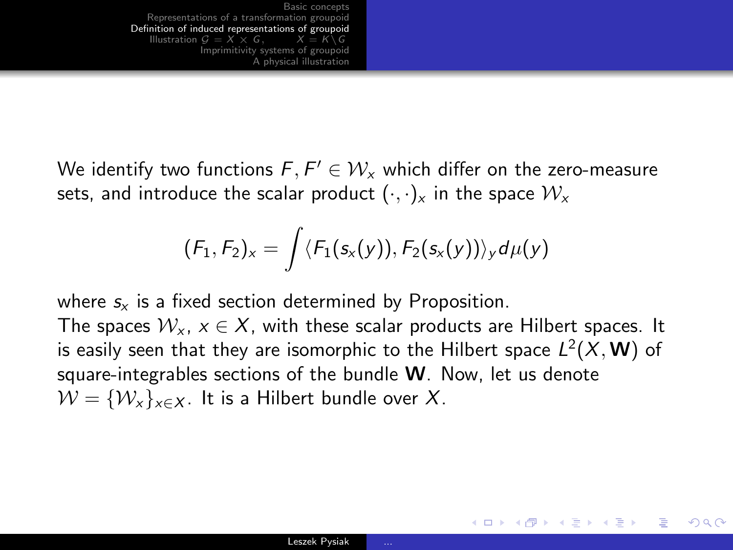We identify two functions  $\mathit{F},\mathit{F}' \in \mathcal{W}_\mathsf{x}$  which differ on the zero-measure sets, and introduce the scalar product  $(\cdot, \cdot)_x$  in the space  $\mathcal{W}_x$ 

$$
(F_1,F_2)_x=\int \langle F_1(s_x(y)),F_2(s_x(y))\rangle_y d\mu(y)
$$

where  $s<sub>x</sub>$  is a fixed section determined by Proposition.

The spaces  $W_x$ ,  $x \in X$ , with these scalar products are Hilbert spaces. It is easily seen that they are isomorphic to the Hilbert space  $L^2(X,{\bf W})$  of square-integrables sections of the bundle  $W$ . Now, let us denote  $W = \{W_x\}_{x \in X}$ . It is a Hilbert bundle over X.

G.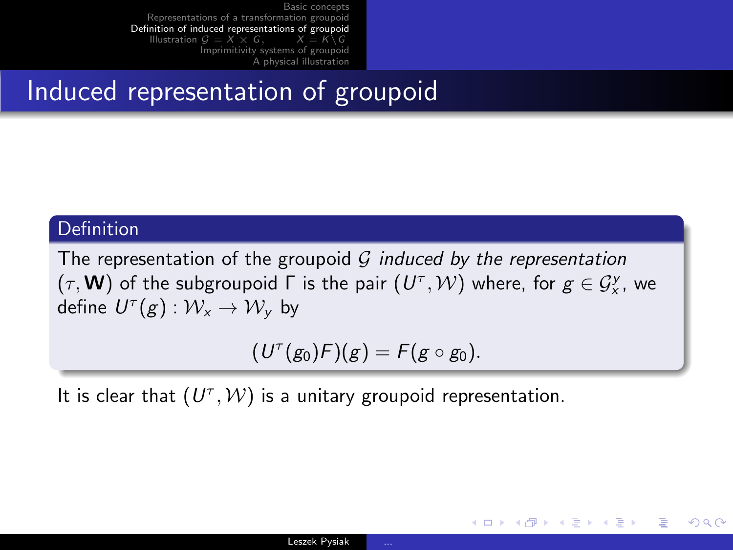## Induced representation of groupoid

#### Definition

The representation of the groupoid G induced by the representation  $(\tau, \mathbf{W})$  of the subgroupoid  $\Gamma$  is the pair  $(U^{\tau}, \mathcal{W})$  where, for  $g \in \mathcal{G}_{\mathsf{x}}^{\mathsf{y}}$ , we define  $U^{\tau}(g): \mathcal{W}_x \rightarrow \mathcal{W}_y$  by

$$
(U^{\tau}(g_0)F)(g) = F(g \circ g_0).
$$

It is clear that  $(U^{\tau}, W)$  is a unitary groupoid representation.

イロメ イ何メ イヨメ イヨメーヨー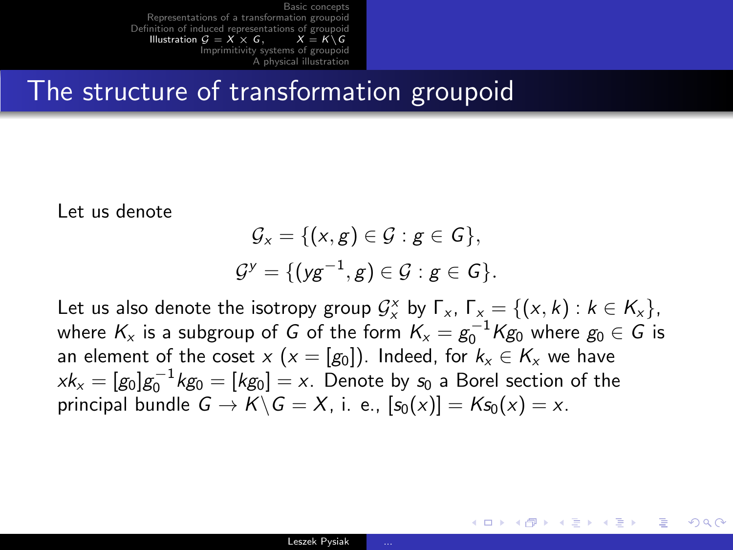### The structure of transformation groupoid

Let us denote

$$
\mathcal{G}_x = \{ (x,g) \in \mathcal{G} : g \in G \},
$$
  

$$
\mathcal{G}^y = \{ (yg^{-1}, g) \in \mathcal{G} : g \in G \}.
$$

Let us also denote the isotropy group  $\mathcal{G}_{x}^{x}$  by  $\Gamma_{x}$ ,  $\Gamma_{x} = \{(x, k) : k \in K_{x}\}\$ , where  $\mathsf{K}_{\mathsf{x}}$  is a subgroup of  $G$  of the form  $\mathsf{K}_{\mathsf{x}} = g_0^{-1} \mathsf{K} g_0$  where  $g_0 \in G$  is an element of the coset x ( $x = [g_0]$ ). Indeed, for  $k_x \in K_x$  we have  $x k_x = [g_0] g_0^{-1} k g_0 = [kg_0] = x$ . Denote by  $s_0$  a Borel section of the principal bundle  $G \to K \backslash G = X$ , i. e.,  $[s_0(x)] = Ks_0(x) = x$ .

<span id="page-27-0"></span>∢ ロ ⊁ ( 何 ) ( ミ ) ( ミ ) ( ニ )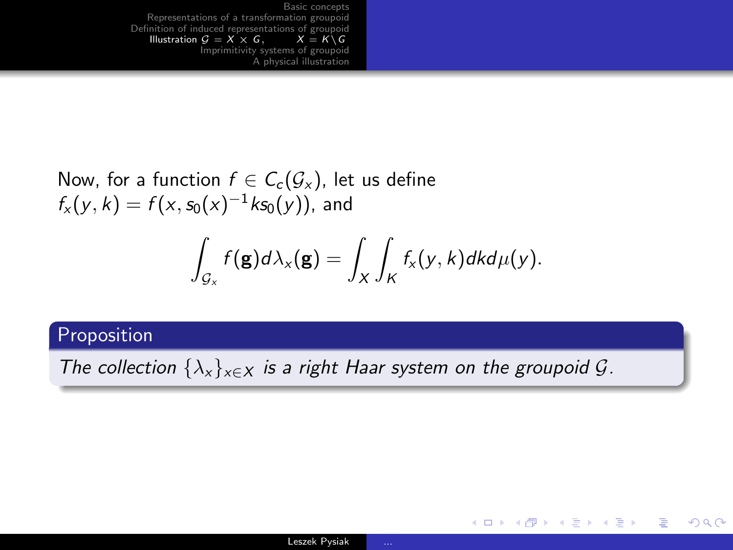Now, for a function  $f \in C_c(\mathcal{G}_x)$ , let us define  $f_{x}(y, k) = f(x, s_0(x)^{-1} k s_0(y))$ , and

$$
\int_{\mathcal{G}_x} f(\mathbf{g}) d\lambda_{\mathsf{x}}(\mathbf{g}) = \int_{\mathsf{X}} \int_{\mathsf{K}} f_{\mathsf{x}}(\mathsf{y},\mathsf{k}) d\mathsf{k} d\mu(\mathsf{y}).
$$

#### Proposition

The collection  $\{\lambda_x\}_{x \in X}$  is a right Haar system on the groupoid  $\mathcal{G}$ .

KED KARD KED KED E VOQO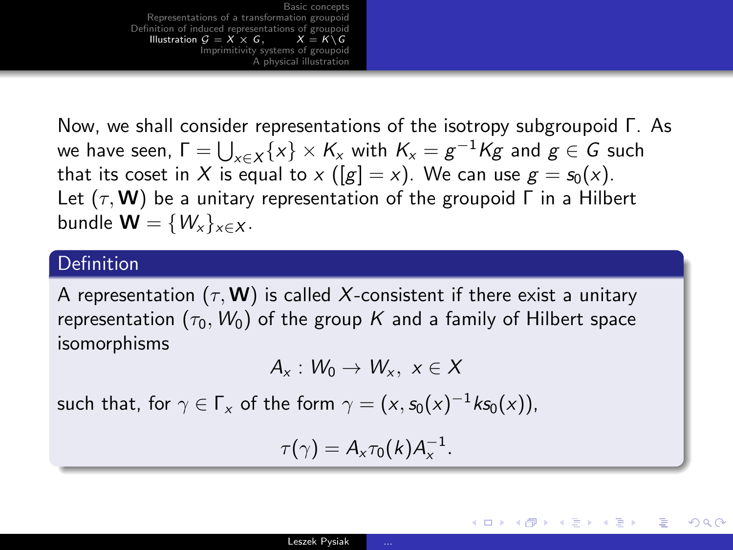Now, we shall consider representations of the isotropy subgroupoid Γ. As we have seen,  $\Gamma = \bigcup_{x \in X} \{x\} \times K_x$  with  $K_x = g^{-1}Kg$  and  $g \in G$  such that its coset in X is equal to x ( $[g] = x$ ). We can use  $g = s_0(x)$ . Let  $(\tau, \mathbf{W})$  be a unitary representation of the groupoid  $\Gamma$  in a Hilbert bundle  $\mathbf{W} = \{W_x\}_{x \in \mathbf{X}}$ .

#### Definition

A representation  $(\tau, \mathbf{W})$  is called X-consistent if there exist a unitary representation  $(\tau_0, W_0)$  of the group K and a family of Hilbert space isomorphisms

$$
A_x: W_0 \to W_x, \ x \in X
$$

such that, for  $\gamma\in \mathsf{F}_{\mathsf{x}}$  of the form  $\gamma=(\mathsf{x},\mathsf{s}_0(\mathsf{x})^{-1} \mathsf{k} \mathsf{s}_0(\mathsf{x})),$ 

$$
\tau(\gamma)=A_x\tau_0(k)A_x^{-1}.
$$

イロン イ何ン イヨン イヨン・ヨー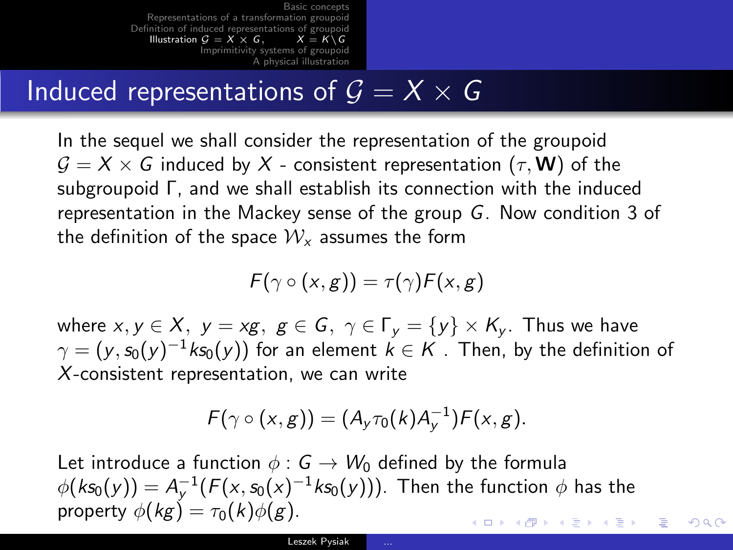## Induced representations of  $\overline{G} = X \times G$

In the sequel we shall consider the representation of the groupoid  $G = X \times G$  induced by X - consistent representation  $(\tau, W)$  of the subgroupoid Γ, and we shall establish its connection with the induced representation in the Mackey sense of the group G. Now condition 3 of the definition of the space  $\mathcal{W}_x$  assumes the form

$$
F(\gamma \circ (x,g)) = \tau(\gamma)F(x,g)
$$

where  $x, y \in X$ ,  $y = xg$ ,  $g \in G$ ,  $\gamma \in \Gamma_v = \{y\} \times K_v$ . Thus we have  $\gamma=(\mathsf{y},\mathsf{s}_0(\mathsf{y})^{-1} \mathsf{k} \mathsf{s}_0(\mathsf{y}))$  for an element  $\mathsf{k}\in \mathsf{K}$  . Then, by the definition of X-consistent representation, we can write

$$
F(\gamma \circ (x,g)) = (A_y \tau_0(k) A_y^{-1}) F(x,g).
$$

Let introduce a function  $\phi : G \to W_0$  defined by the formula  $\phi(k\mathsf{s}_0(\mathsf{y})) = \mathsf{A}_\mathsf{y}^{-1}(\mathsf{F}(\mathsf{x},\mathsf{s}_0(\mathsf{x})^{-1} \mathsf{k} \mathsf{s}_0(\mathsf{y})))$ . Then the function  $\phi$  has the property  $\phi(kg) = \tau_0(k)\phi(g)$ .  $\mathbf{A} \otimes \mathbf{B} \rightarrow \mathbf{A} \otimes \mathbf{B} \rightarrow \mathbf{A} \otimes \mathbf{B} \rightarrow \mathbf{A} \otimes \mathbf{B} \rightarrow \mathbf{B} \otimes \mathbf{B}$  $209$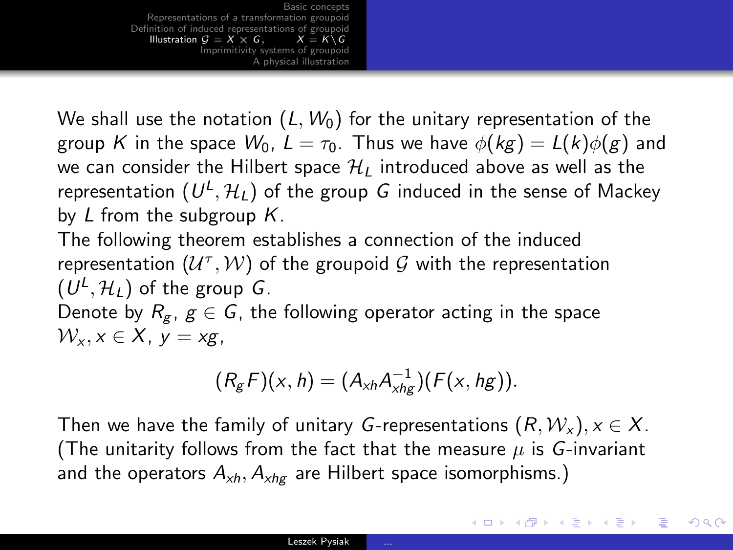We shall use the notation  $(L, W_0)$  for the unitary representation of the group K in the space  $W_0$ ,  $L = \tau_0$ . Thus we have  $\phi(kg) = L(k)\phi(g)$  and we can consider the Hilbert space  $\mathcal{H}_L$  introduced above as well as the representation  $(U^{\mathsf{L}},\mathcal{H}_{\mathsf{L}})$  of the group  $G$  induced in the sense of Mackey by  $L$  from the subgroup  $K$ .

The following theorem establishes a connection of the induced representation  $(\mathcal{U}^{\tau}, \mathcal{W})$  of the groupoid  $\mathcal G$  with the representation  $(U^L, \mathcal{H}_L)$  of the group  $G$ .

Denote by  $R_g$ ,  $g \in G$ , the following operator acting in the space  $W_x$ ,  $x \in X$ ,  $y = xg$ .

$$
(R_gF)(x,h)=(A_{xh}A_{xhg}^{-1})(F(x,hg)).
$$

Then we have the family of unitary G-representations  $(R, \mathcal{W}_x), x \in X$ . (The unitarity follows from the fact that the measure  $\mu$  is G-invariant and the operators  $A_{xh}$ ,  $A_{xh}$  are Hilbert space isomorphisms.)

イロト イ伊 トマミト マミト ニヨー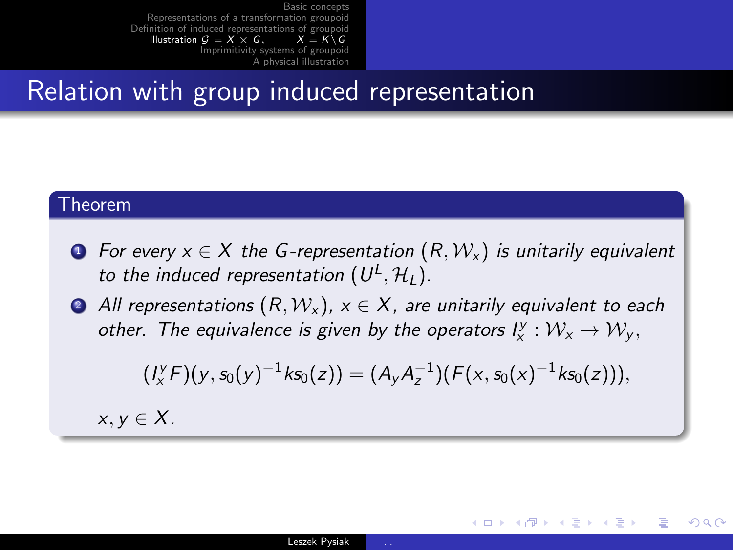### Relation with group induced representation

#### Theorem

- **1** For every  $x \in X$  the G-representation  $(R, W_x)$  is unitarily equivalent to the induced representation  $(U^L, \mathcal{H}_L)$ .
- All representations  $(R, W_x)$ ,  $x \in X$ , are unitarily equivalent to each other. The equivalence is given by the operators  $l_x^y : \mathcal{W}_x \to \mathcal{W}_y$ ,

$$
(I_x^y F)(y, s_0(y)^{-1} k s_0(z)) = (A_y A_z^{-1})(F(x, s_0(x)^{-1} k s_0(z))),
$$

イロメ イ何メ イヨメ イヨメー

 $209$ 

 $x, y \in X$ .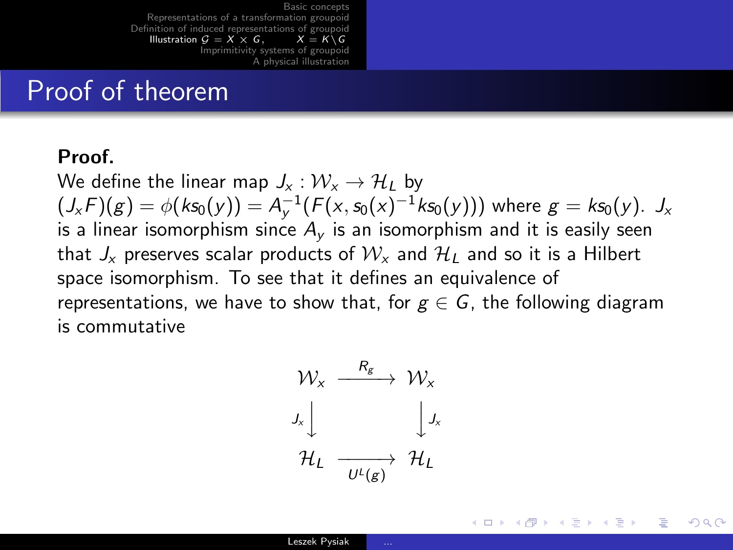## Proof of theorem

#### Proof.

We define the linear map  $J_x : \mathcal{W}_x \to \mathcal{H}_1$  by  $(J_x F)(g) = \phi(ks_0(y)) = A_y^{-1}(F(x, s_0(x)^{-1}ks_0(y)))$  where  $g = ks_0(y)$ .  $J_x$ is a linear isomorphism since  $A<sub>v</sub>$  is an isomorphism and it is easily seen that  $J_x$  preserves scalar products of  $W_x$  and  $H_1$  and so it is a Hilbert space isomorphism. To see that it defines an equivalence of representations, we have to show that, for  $g \in G$ , the following diagram is commutative

$$
\begin{array}{ccc}\n\mathcal{W}_x & \xrightarrow{\quad R_g} & \mathcal{W}_x \\
J_x \downarrow & & \downarrow J_x \\
\mathcal{H}_L & \xrightarrow{\quad \quad U^L(g)} & \mathcal{H}_L\n\end{array}
$$

イロメ イ何メ イヨメ イヨメー ヨー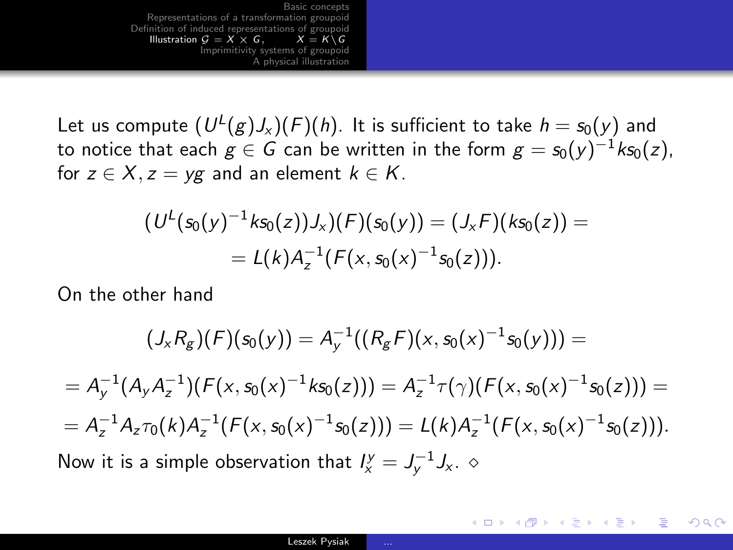Let us compute  $(U^{\mathsf{L}}(g)J_{\mathsf{x}})(F)(h).$  It is sufficient to take  $h = \mathsf{s}_0(\mathsf{y})$  and to notice that each  $g\in G$  can be written in the form  $g=s_0(y)^{-1}k\mathfrak{s}_0(z)$ , for  $z \in X$ ,  $z = yg$  and an element  $k \in K$ .

$$
(U^L(s_0(y)^{-1}ks_0(z))J_x)(F)(s_0(y)) = (J_xF)(ks_0(z)) =
$$
  
= L(k)A<sub>z</sub><sup>-1</sup>(F(x, s\_0(x)<sup>-1</sup>s\_0(z))).

On the other hand

$$
(J_x R_g)(F)(s_0(y)) = A_y^{-1}((R_g F)(x, s_0(x)^{-1}s_0(y))) =
$$
\n
$$
= A_y^{-1}(A_y A_z^{-1})(F(x, s_0(x)^{-1} s_0(z))) = A_z^{-1} \tau(\gamma)(F(x, s_0(x)^{-1} s_0(z))) =
$$
\n
$$
= A_z^{-1} A_z \tau_0(k) A_z^{-1}(F(x, s_0(x)^{-1} s_0(z))) = L(k) A_z^{-1}(F(x, s_0(x)^{-1} s_0(z))).
$$
\nNow it is a simple observation that  $I_x^y = J_y^{-1} J_x$ .  $\diamond$ 

イロメ イ母メ イヨメ イヨメー

G.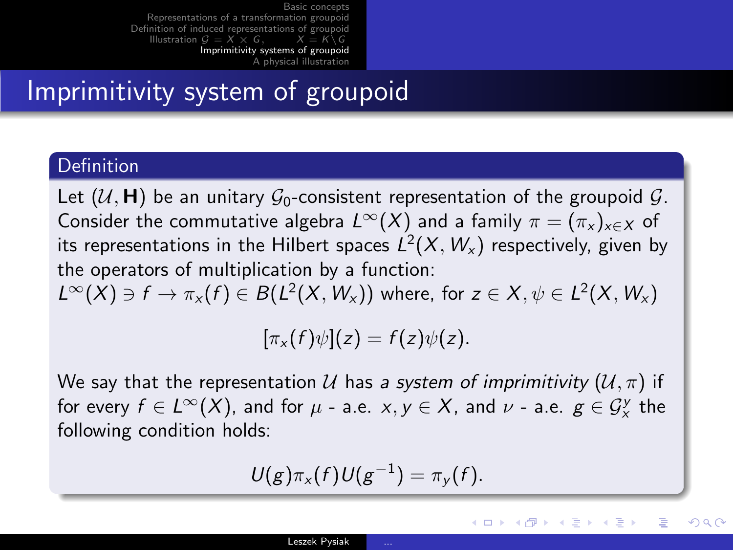## Imprimitivity system of groupoid

#### **Definition**

Let  $(\mathcal{U}, \mathbf{H})$  be an unitary  $\mathcal{G}_0$ -consistent representation of the groupoid  $\mathcal{G}$ . Consider the commutative algebra  $L^{\infty}(X)$  and a family  $\pi = (\pi_{x})_{x \in X}$  of its representations in the Hilbert spaces  $\mathsf{L}^2(X,W_\mathsf{x})$  respectively, given by the operators of multiplication by a function:  $L^{\infty}(X) \ni f \to \pi_{x}(f) \in B(L^{2}(X, W_{x}))$  where, for  $z \in X, \psi \in L^{2}(X, W_{x})$ 

$$
[\pi_x(f)\psi](z) = f(z)\psi(z).
$$

We say that the representation U has a system of imprimitivity  $(U, \pi)$  if for every  $f\in L^\infty(X)$ , and for  $\mu$  - a.e.  $x,y\in X$ , and  $\nu$  - a.e.  $g\in \mathcal{G}_x^{\mathrm{y}}$  the following condition holds:

$$
U(g)\pi_x(f)U(g^{-1})=\pi_y(f).
$$

イロト イ押 トイヨ トイヨ トー

<span id="page-35-0"></span>目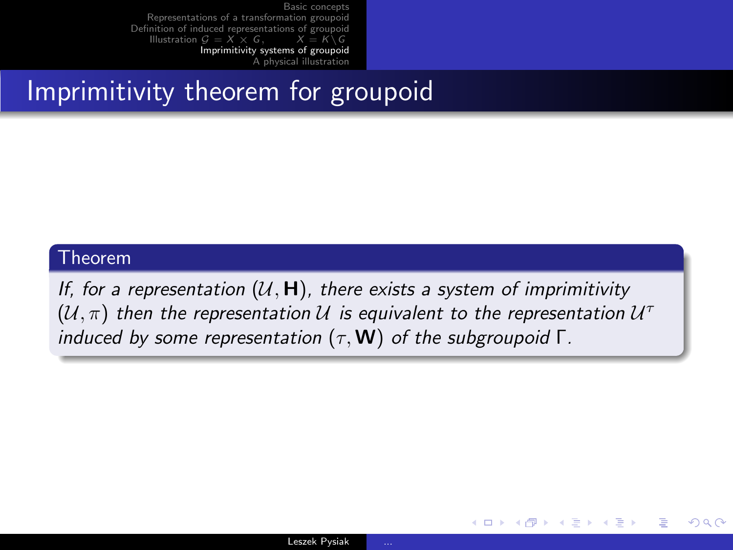## Imprimitivity theorem for groupoid

#### Theorem

If, for a representation  $(U, H)$ , there exists a system of imprimitivity  $(\mathcal{U},\pi)$  then the representation  $\mathcal{U}$  is equivalent to the representation  $\mathcal{U}^{\dagger}$ induced by some representation  $(\tau, W)$  of the subgroupoid  $\Gamma$ .

イロメ イ母メ イヨメ イヨメー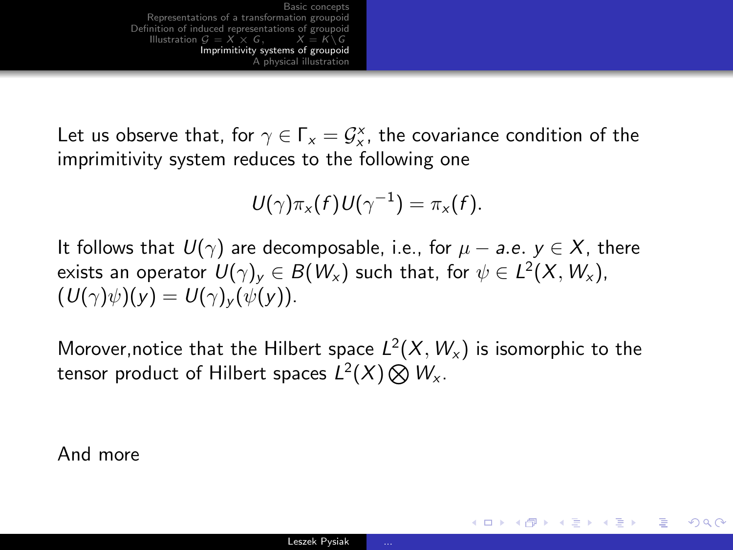Let us observe that, for  $\gamma \in \Gamma_x = \mathcal{G}_x^{\times}$ , the covariance condition of the imprimitivity system reduces to the following one

$$
U(\gamma)\pi_{x}(f)U(\gamma^{-1})=\pi_{x}(f).
$$

It follows that  $U(\gamma)$  are decomposable, i.e., for  $\mu - a.e.$   $y \in X$ , there exists an operator  $\mathit{U}(\gamma)_y\in B(\mathit{W}_x)$  such that, for  $\psi\in L^2(\mathit{X},\mathit{W}_x)$ ,  $(U(\gamma)\psi)(y) = U(\gamma)_y(\psi(y)).$ 

Morover,notice that the Hilbert space  $L^2(X,W_\times)$  is isomorphic to the tensor product of Hilbert spaces  $L^2(X)\bigotimes W_{\mathsf{x}}$ .

And more

イロメ イ母メ イヨメ イヨメーヨー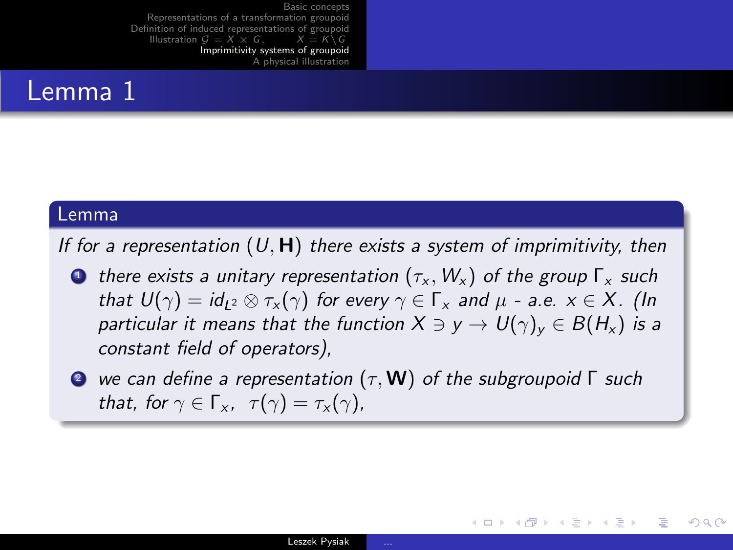#### Lemma 1

#### Lemma

If for a representation  $(U, H)$  there exists a system of imprimitivity, then

- **1** there exists a unitary representation  $(\tau_x, W_x)$  of the group  $\Gamma_x$  such that  $U(\gamma) = id_{12} \otimes \tau_{x}(\gamma)$  for every  $\gamma \in \Gamma_{x}$  and  $\mu$  - a.e.  $x \in X$ . (In particular it means that the function  $X \ni y \to U(\gamma)_y \in B(H_x)$  is a constant field of operators),
- **2** we can define a representation  $(\tau, \mathbf{W})$  of the subgroupoid  $\Gamma$  such that, for  $\gamma \in \Gamma_{x}$ ,  $\tau(\gamma) = \tau_{x}(\gamma)$ ,

イロメ イ母メ イヨメ イヨメーヨー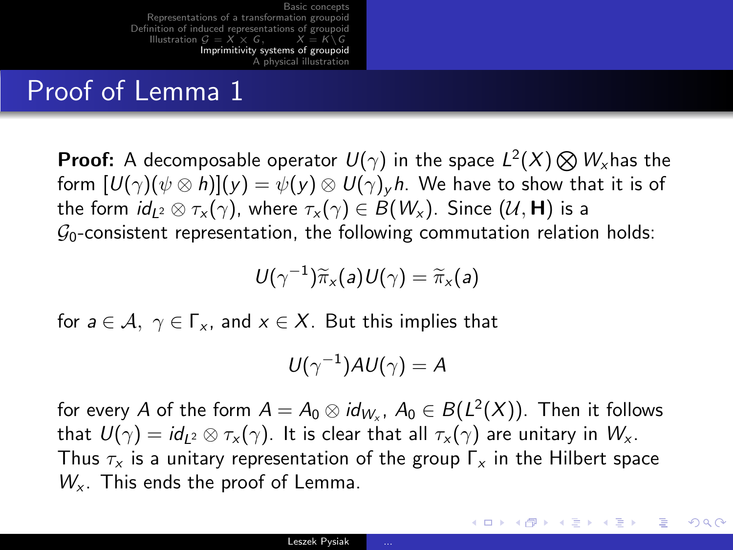## Proof of Lemma 1

**Proof:** A decomposable operator  $U(\gamma)$  in the space  $L^2(X)\bigotimes W_{\!\scriptscriptstyle X}$ has the form  $[U(\gamma)(\psi \otimes h)](y) = \psi(y) \otimes U(\gamma)_v h$ . We have to show that it is of the form  $id_{L^2} \otimes \tau_x(\gamma)$ , where  $\tau_x(\gamma) \in B(W_x)$ . Since  $(U, H)$  is a  $\mathcal{G}_0$ -consistent representation, the following commutation relation holds:

$$
U(\gamma^{-1})\widetilde{\pi}_x(a)U(\gamma)=\widetilde{\pi}_x(a)
$$

for  $a \in A$ ,  $\gamma \in \Gamma_{x}$ , and  $x \in X$ . But this implies that

$$
U(\gamma^{-1})AU(\gamma)=A
$$

for every  $A$  of the form  $A=A_0\otimes \mathit{id}_{W_\times}$ ,  $A_0\in B(L^2(X)).$  Then it follows that  $U(\gamma) = id_{L^2} \otimes \tau_{\mathsf{x}}(\gamma)$ . It is clear that all  $\tau_{\mathsf{x}}(\gamma)$  are unitary in  $W_{\mathsf{x}}$ . Thus  $\tau_x$  is a unitary representation of the group  $\Gamma_x$  in the Hilbert space  $W_{x}$ . This ends the proof of Lemma.

イロン イ何ン イヨン イヨン・ヨー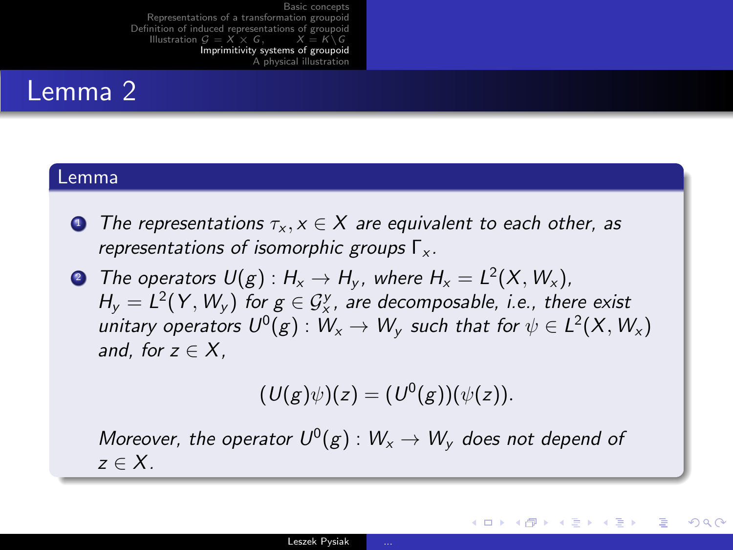### Lemma 2

#### Lemma

- **1** The representations  $\tau_x, x \in X$  are equivalent to each other, as representations of isomorphic groups  $\Gamma_{x}$ .
- $\bullet$  The operators  $\mathsf{U}({\pmb{\mathcal{g}}}) : \mathsf{H}_\mathsf{x} \to \mathsf{H}_\mathsf{y},$  where  $\mathsf{H}_\mathsf{x} = \mathsf{L}^2(\mathsf{X}, \mathsf{W}_\mathsf{x}),$  $H_y = L^2(Y, W_y)$  for  $g \in \mathcal{G}_x^y$ , are decomposable, i.e., there exist unitary operators  $U^0(g):W_\mathsf{x}\to W_\mathsf{y}$  such that for  $\psi\in L^2(X,W_\mathsf{x})$ and, for  $z \in X$ .

$$
(U(g)\psi)(z) = (U^0(g))(\psi(z)).
$$

イロメ イ何メ イヨメ イヨメーヨー

 $\Omega$ 

Moreover, the operator  $U^0(g):W_\chi\to W_\chi$  does not depend of  $z \in X$ .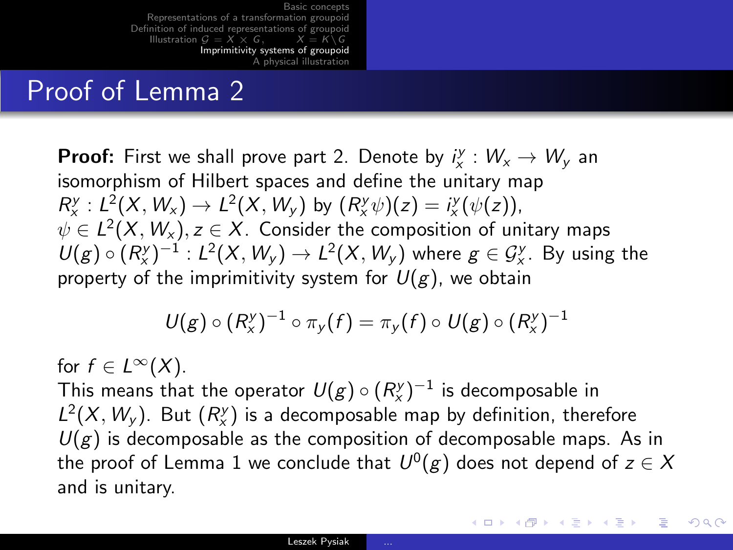## Proof of Lemma 2

**Proof:** First we shall prove part 2. Denote by  $i_x^y : W_x \to W_y$  an isomorphism of Hilbert spaces and define the unitary map  $R_{x}^{y}: L^{2}(X, W_{x}) \to L^{2}(X, W_{y})$  by  $(R_{x}^{y}\psi)(z) = i_{x}^{y}(\psi(z)),$  $\psi \in L^2(X,W_\mathsf{x}), z \in X$ . Consider the composition of unitary maps  $U(g)\circ (R_{x}^{y})^{-1}: L^{2}(X, W_{y})\to L^{2}(X, W_{y})$  where  $g\in \mathcal{G}_{x}^{y}$ . By using the property of the imprimitivity system for  $U(g)$ , we obtain

$$
U(g) \circ (R_x^y)^{-1} \circ \pi_y(f) = \pi_y(f) \circ U(g) \circ (R_x^y)^{-1}
$$

for  $f \in L^{\infty}(X)$ . This means that the operator  $\,{U(\mathcal{g}\hskip.2pt)\circ} \, (R_{\times}^\mathrm{y})^{-1}$  is decomposable in  $L^2(X, W_y)$ . But  $(R_x^y)$  is a decomposable map by definition, therefore  $U(g)$  is decomposable as the composition of decomposable maps. As in the proof of Lemma 1 we conclude that  $\mathit{U}^{0}(g)$  does not depend of  $z\in\mathcal{X}$ and is unitary.

K ロンス 御 > ス 할 > ス 할 > 「 할 …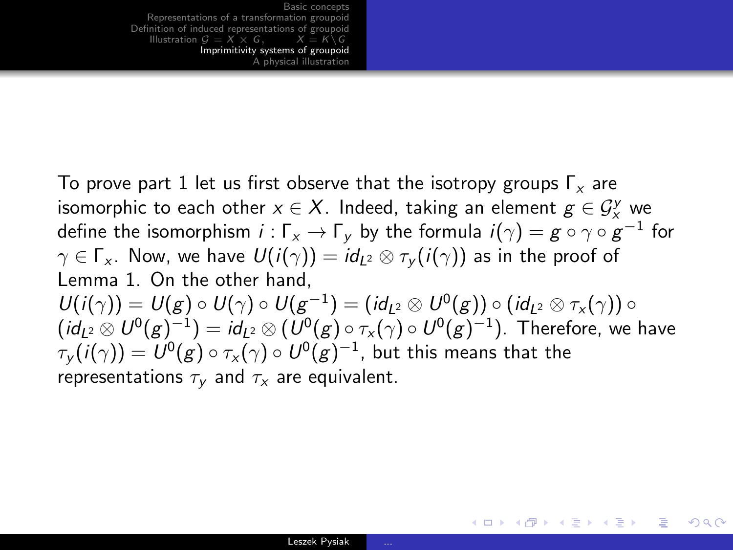To prove part 1 let us first observe that the isotropy groups  $\Gamma_{x}$  are isomorphic to each other  $x \in X$ . Indeed, taking an element  $g \in \mathcal{G}^{\mathcal{Y}}_{\mathcal{x}}$  we define the isomorphism  $i:\Gamma_{\mathsf{x}}\to\Gamma_{\mathsf{y}}$  by the formula  $i(\gamma)=\mathsf{g}\circ\gamma\circ\mathsf{g}^{-1}$  for  $\gamma \in \Gamma_{\mathsf{x}}$ . Now, we have  $U(i(\gamma)) = id_{12} \otimes \tau_{\mathsf{v}}(i(\gamma))$  as in the proof of Lemma 1. On the other hand,  $U(i(\gamma))=U(g)\circ U(\gamma)\circ U(g^{-1})=(\mathit{id}_{L^2}\otimes U^0(g))\circ (\mathit{id}_{L^2}\otimes \tau_\mathsf{x}(\gamma))\circ$  $(\mathit{id}_{L^2}\otimes U^0({g})^{-1})=\mathit{id}_{L^2}\otimes (U^0({g})\circ \tau_\mathsf{x}(\gamma)\circ U^0({g})^{-1}).$  Therefore, we have  $\tau_{\mathsf y}(i(\gamma)) = \mathsf U^0(\mathsf g) \circ \tau_{\mathsf x}(\gamma) \circ \mathsf U^0(\mathsf g)^{-1}$ , but this means that the representations  $\tau_{\mathbf{v}}$  and  $\tau_{\mathbf{x}}$  are equivalent.

KED KAR KED KED E MAA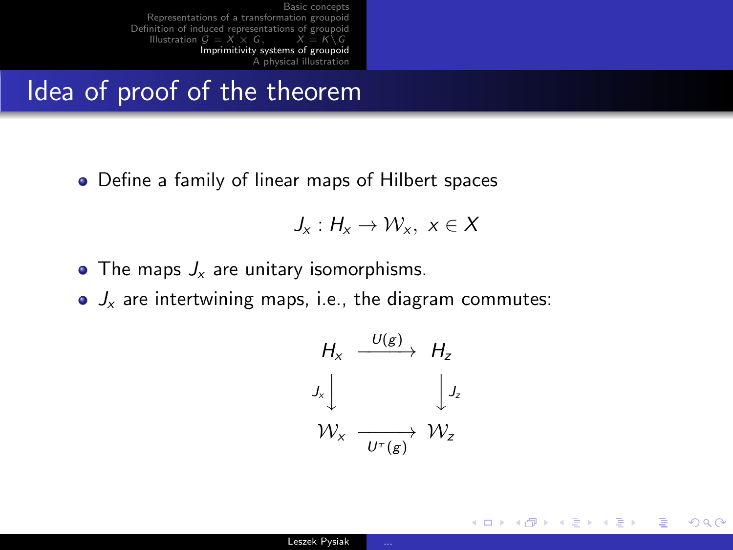### Idea of proof of the theorem

Define a family of linear maps of Hilbert spaces

$$
J_x:H_x\to \mathcal{W}_x,\ x\in X
$$

- The maps  $J_x$  are unitary isomorphisms.
- $J_x$  are intertwining maps, i.e., the diagram commutes:

$$
H_x \xrightarrow{U(g)} H_z
$$
  
\n
$$
J_x \downarrow \qquad \qquad J_z
$$
  
\n
$$
W_x \xrightarrow{U^{\tau}(g)} W_z
$$

イロメ イ母メ イヨメ イヨメー

目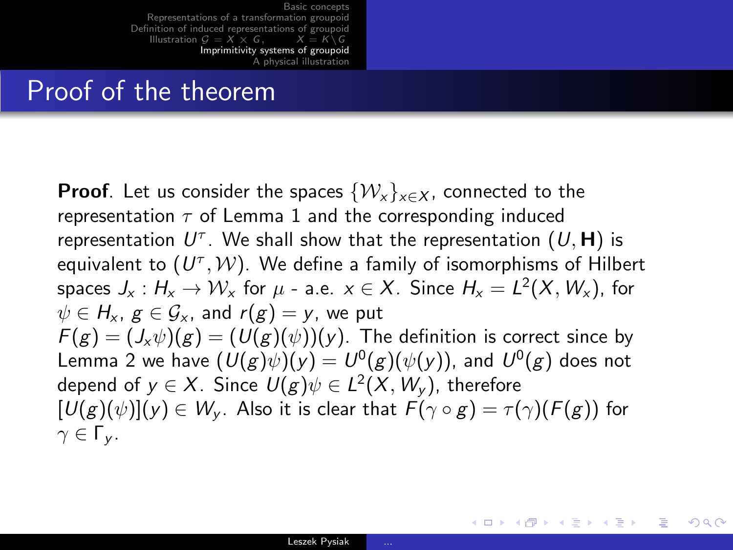### Proof of the theorem

**Proof.** Let us consider the spaces  $\{W_x\}_{x \in X}$ , connected to the representation  $\tau$  of Lemma 1 and the corresponding induced representation  $U^\tau.$  We shall show that the representation  $(U,\mathsf{H})$  is equivalent to  $(U^\tau, \mathcal{W}).$  We define a family of isomorphisms of Hilbert spaces  $J_{\mathsf{x}}: \mathcal{H}_{\mathsf{x}} \to \mathcal{W}_{\mathsf{x}}$  for  $\mu$  - a.e.  $\mathsf{x} \in X.$  Since  $\mathcal{H}_{\mathsf{x}} = L^2(X, \mathcal{W}_{\mathsf{x}}),$  for  $\psi \in H_{\rm x}$ ,  $g \in \mathcal{G}_{\rm x}$ , and  $r(g) = v$ , we put  $F(g) = (J_x \psi)(g) = (U(g)(\psi))(y)$ . The definition is correct since by Lemma 2 we have  $(U(g)\psi)(y)=U^0(g)(\psi(y)),$  and  $U^0(g)$  does not depend of  $y\in X$ . Since  $U(g)\psi\in L^2(X,W_y)$ , therefore  $[U(g)(\psi)](y) \in W_{\mathsf{v}}$ . Also it is clear that  $F(\gamma \circ g) = \tau(\gamma)(F(g))$  for  $γ ∈ Γν$ .

KED KAR KED KED E MAA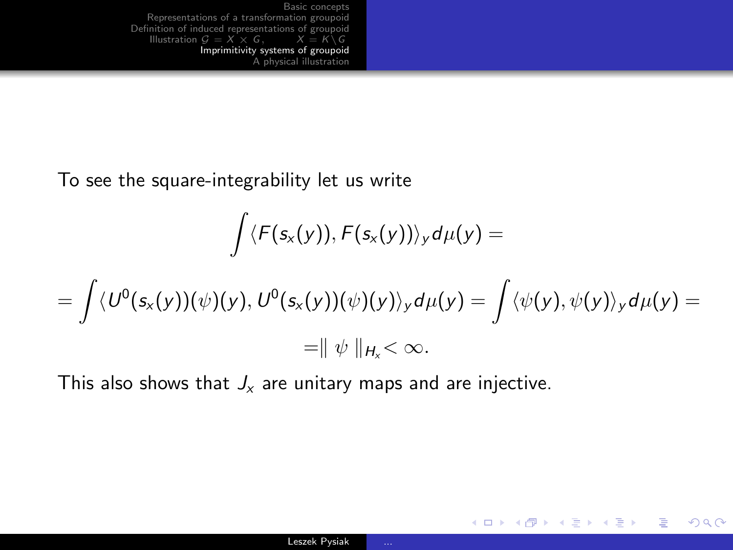To see the square-integrability let us write

$$
\int \langle F(s_x(y)), F(s_x(y)) \rangle_y d\mu(y) =
$$
\n
$$
= \int \langle U^0(s_x(y))(\psi)(y), U^0(s_x(y))(\psi)(y) \rangle_y d\mu(y) = \int \langle \psi(y), \psi(y) \rangle_y d\mu(y) =
$$
\n
$$
= || \psi ||_{H_x} < \infty.
$$

This also shows that  $J_x$  are unitary maps and are injective.

GHT 1  $2990$ 

イロメ イ母メ イヨメ イヨメー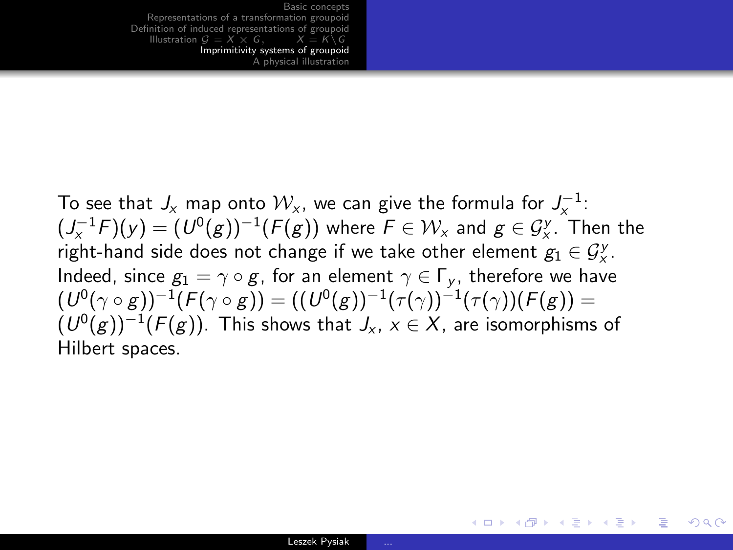To see that  $J_{\mathsf{x}}$  map onto  $\mathcal{W}_{\mathsf{x}}$ , we can give the formula for  $J_{\mathsf{x}}^{-1}$ :  $(J^{-1}_{\mathsf{x}} F)(\mathsf{y}) = (\mathsf{U}^0(\mathsf{g}))^{-1}(\mathsf{F}(\mathsf{g}))$  where  $\mathsf{F} \in \mathcal{W}_\mathsf{x}$  and  $\mathsf{g} \in \mathcal{G}^\mathsf{y}_\mathsf{x}$ . Then the right-hand side does not change if we take other element  $g_1 \in \mathcal{G}_x^{\mathcal{Y}}$ . Indeed, since  $g_1 = \gamma \circ g$ , for an element  $\gamma \in \Gamma_{\nu}$ , therefore we have  $(U^0(\gamma\circ g))^{-1}(F(\gamma\circ g))= ((U^0(g))^{-1}(\tau(\gamma))^{-1}(\tau(\gamma))(F(g))=$  $(\,U^0(g))^{-1}(F(g)).$  This shows that  $\mathit{J}_x,\,x\in\mathcal{X},$  are isomorphisms of Hilbert spaces.

KED KAP KED KED E VAA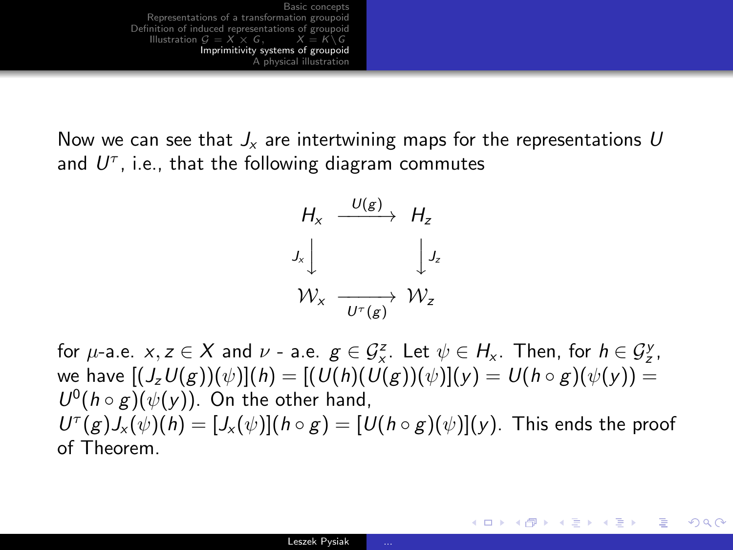Now we can see that  $J_x$  are intertwining maps for the representations U and  $U^{\tau}$ , i.e., that the following diagram commutes



for  $\mu$ -a.e.  $x, z \in X$  and  $\nu$  - a.e.  $g \in \mathcal{G}_{x}^{z}$ . Let  $\psi \in H_{x}$ . Then, for  $h \in \mathcal{G}_{z}^{y}$ , we have  $[(J_zU(g))(\psi)](h) = [(U(h)(U(g))(\psi)](\gamma) = U(h \circ g)(\psi(\gamma)) =$  $U^0(h \circ g)(\psi(y))$ . On the other hand,  $U^{\tau}(g)J_{x}(\psi)(h)=[J_{x}(\psi)](h\circ g)=[U(h\circ g)(\psi)](y)$ . This ends the proof of Theorem.

KED KARD KED KED E VOQO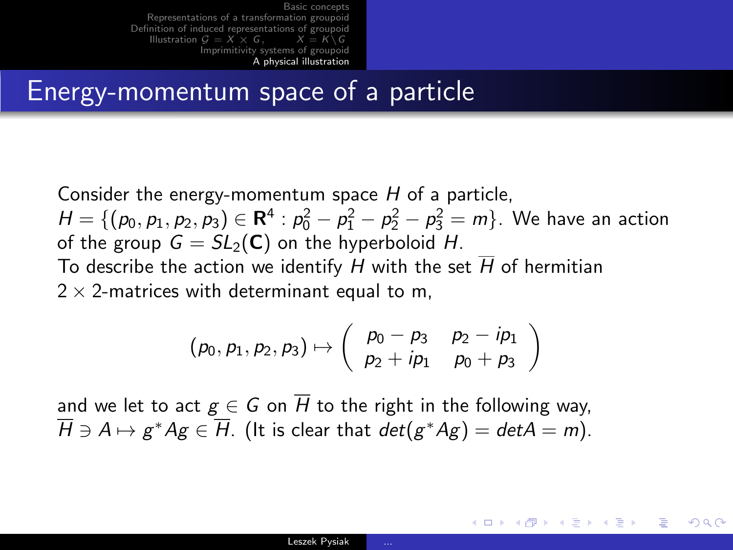### Energy-momentum space of a particle

Consider the energy-momentum space  $H$  of a particle,  $H = \{ (p_0, p_1, p_2, p_3) \in \mathbf{R}^4 : p_0^2 - p_1^2 - p_2^2 - p_3^2 = m \}.$  We have an action of the group  $G = SL_2(\mathbb{C})$  on the hyperboloid H. To describe the action we identify H with the set  $\overline{H}$  of hermitian  $2 \times$  2-matrices with determinant equal to m,

$$
(p_0, p_1, p_2, p_3) \mapsto \begin{pmatrix} p_0 - p_3 & p_2 - ip_1 \ p_2 + ip_1 & p_0 + p_3 \end{pmatrix}
$$

and we let to act  $g \in G$  on  $\overline{H}$  to the right in the following way,  $\overline{H}\ni A\mapsto g^*Ag\in\overline{H}.$  (It is clear that  $det(g^*Ag)=det A=m).$ 

<span id="page-48-0"></span>イロメ イ何メ イヨメ イヨメーヨ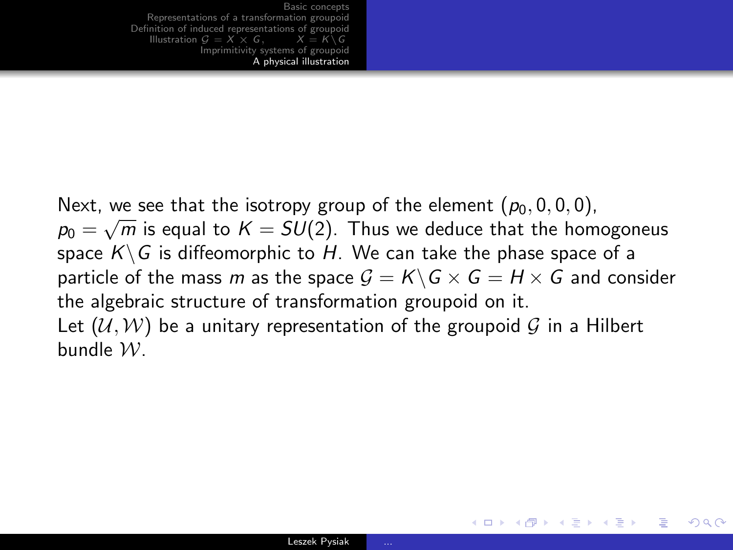Next, we see that the isotropy group of the element  $(p_0, 0, 0, 0)$ ,  $p_0 = \sqrt{m}$  is equal to  $K = SU(2)$ . Thus we deduce that the homogoneus space  $K\backslash G$  is diffeomorphic to H. We can take the phase space of a particle of the mass m as the space  $G = K \backslash G \times G = H \times G$  and consider the algebraic structure of transformation groupoid on it. Let  $(\mathcal{U}, \mathcal{W})$  be a unitary representation of the groupoid G in a Hilbert bundle W.

イロメ イ何メ イヨメ イヨメー

G.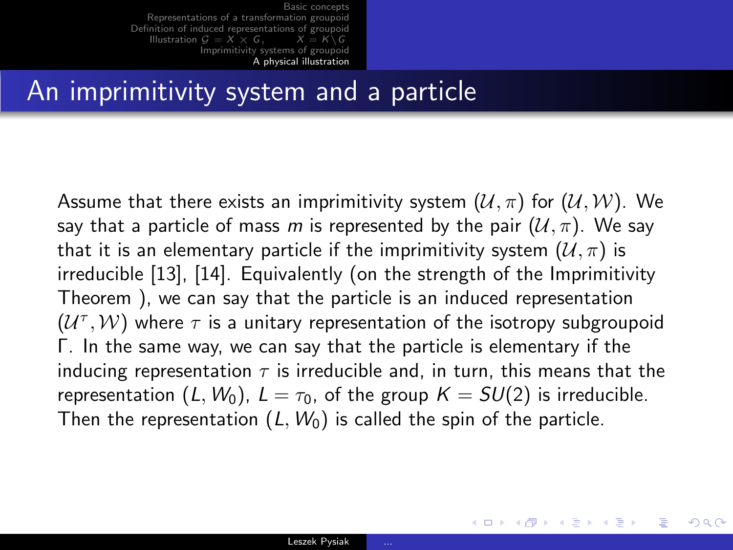#### An imprimitivity system and a particle

Assume that there exists an imprimitivity system  $(\mathcal{U}, \pi)$  for  $(\mathcal{U}, \mathcal{W})$ . We say that a particle of mass m is represented by the pair  $(U, \pi)$ . We say that it is an elementary particle if the imprimitivity system  $(\mathcal{U}, \pi)$  is irreducible [\[13\]](#page-54-0), [\[14\]](#page-54-1). Equivalently (on the strength of the Imprimitivity Theorem ), we can say that the particle is an induced representation  $(\mathcal{U}^{\tau}, \mathcal{W})$  where  $\tau$  is a unitary representation of the isotropy subgroupoid Γ. In the same way, we can say that the particle is elementary if the inducing representation  $\tau$  is irreducible and, in turn, this means that the representation  $(L, W_0)$ ,  $L = \tau_0$ , of the group  $K = SU(2)$  is irreducible. Then the representation  $(L, W_0)$  is called the spin of the particle.

イロメ イ何 ト イヨ ト イヨ トー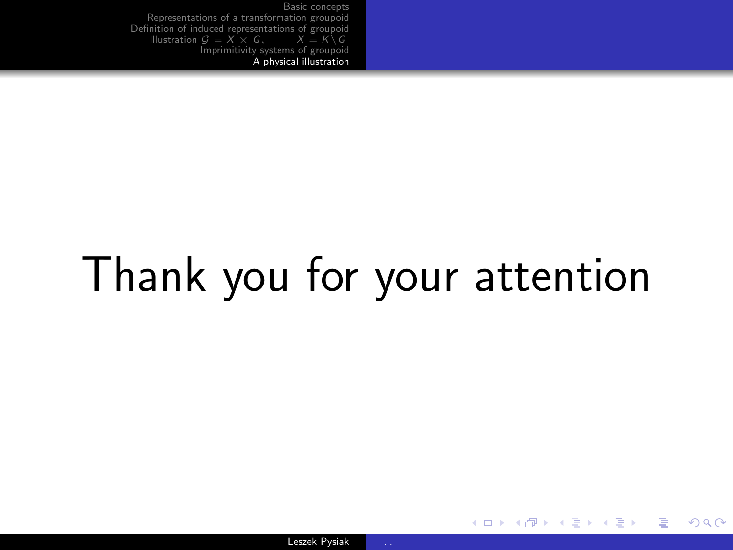# Thank you for your attention

イロト イ押 トイヨ トイヨ トー

 $\equiv$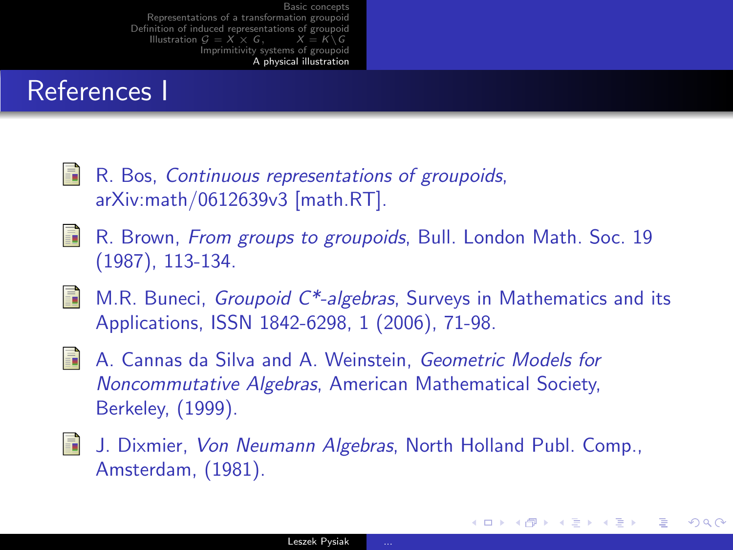## References I

- 晶 R. Bos, Continuous representations of groupoids, arXiv:math/0612639v3 [math.RT].
- R. Brown, From groups to groupoids, Bull. London Math. Soc. 19 晶 (1987), 113-134.
- M.R. Buneci, Groupoid C\*-algebras, Surveys in Mathematics and its 晶 Applications, ISSN 1842-6298, 1 (2006), 71-98.
- S. A. Cannas da Silva and A. Weinstein, Geometric Models for Noncommutative Algebras, American Mathematical Society, Berkeley, (1999).
- 晶 J. Dixmier, Von Neumann Algebras, North Holland Publ. Comp., Amsterdam, (1981).

イロト イ母 トイヨ トイヨ トー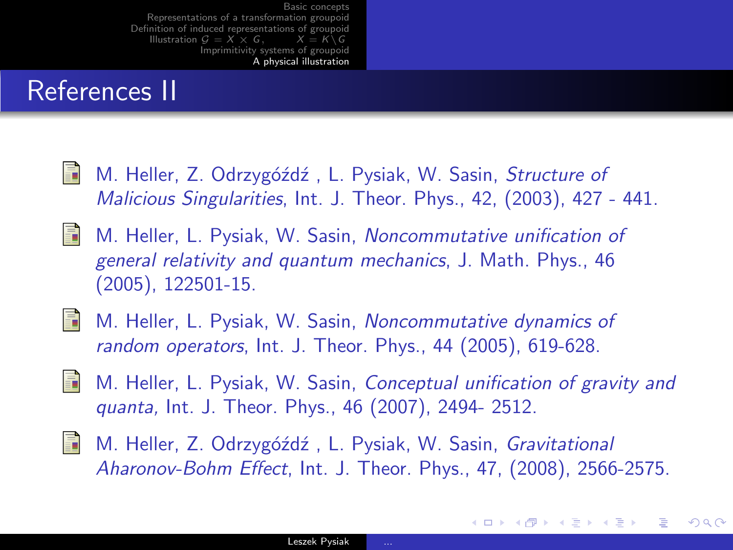## References II

- 螶 M. Heller, Z. Odrzygóźdź, L. Pysiak, W. Sasin, Structure of Malicious Singularities, Int. J. Theor. Phys., 42, (2003), 427 - 441.
- S. M. Heller, L. Pysiak, W. Sasin, Noncommutative unification of general relativity and quantum mechanics, J. Math. Phys., 46 (2005), 122501-15.
- 
- **M.** Heller, L. Pysiak, W. Sasin, Noncommutative dynamics of random operators, Int. J. Theor. Phys., 44 (2005), 619-628.
- 畐 M. Heller, L. Pysiak, W. Sasin, Conceptual unification of gravity and quanta, Int. J. Theor. Phys., 46 (2007), 2494- 2512.
- M. Heller, Z. Odrzygóźdź, L. Pysiak, W. Sasin, Gravitational 暈 Aharonov-Bohm Effect, Int. J. Theor. Phys., 47, (2008), 2566-2575.

イロメ イ母メ イヨメ イヨメー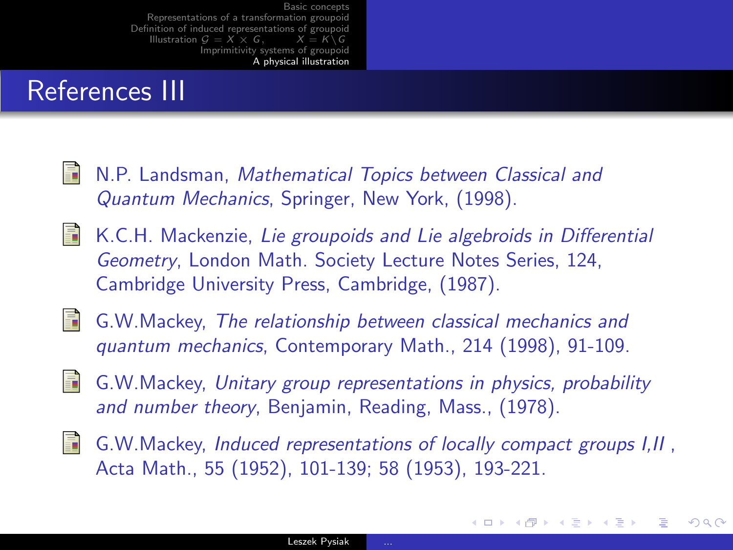## References III

- **N.P. Landsman, Mathematical Topics between Classical and** Quantum Mechanics, Springer, New York, (1998).
- $\blacksquare$  K.C.H. Mackenzie, Lie groupoids and Lie algebroids in Differential Geometry, London Math. Society Lecture Notes Series, 124, Cambridge University Press, Cambridge, (1987).
- <span id="page-54-0"></span> $\blacksquare$  G.W.Mackey, The relationship between classical mechanics and quantum mechanics, Contemporary Math., 214 (1998), 91-109.
- <span id="page-54-1"></span>G.W.Mackey, Unitary group representations in physics, probability and number theory, Benjamin, Reading, Mass., (1978).
- $\Box$  G.W.Mackey, Induced representations of locally compact groups  $I,II$ , Acta Math., 55 (1952), 101-139; 58 (1953), 193-221.

イロメ イ母メ イヨメ イヨメー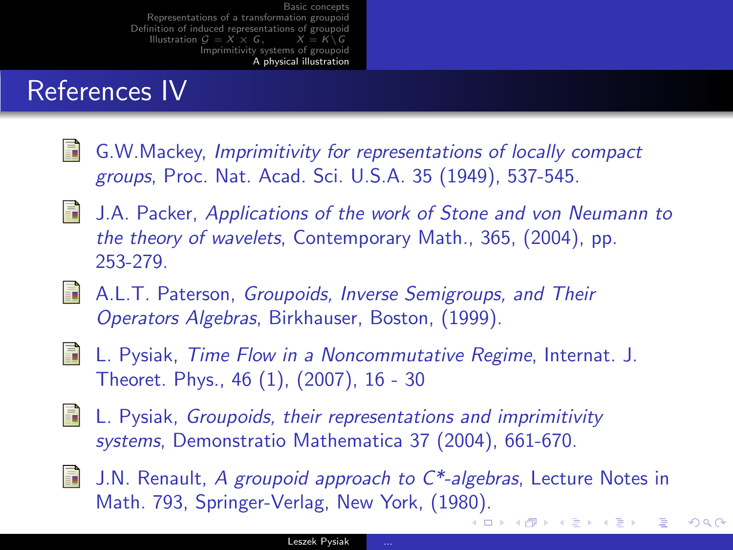## References IV

- 量 G.W.Mackey, Imprimitivity for representations of locally compact groups, Proc. Nat. Acad. Sci. U.S.A. 35 (1949), 537-545.
- 歸 J.A. Packer, Applications of the work of Stone and von Neumann to the theory of wavelets, Contemporary Math., 365, (2004), pp. 253-279.
- **A.L.T. Paterson, Groupoids, Inverse Semigroups, and Their** Operators Algebras, Birkhauser, Boston, (1999).
- S.
	- L. Pysiak, Time Flow in a Noncommutative Regime, Internat. J. Theoret. Phys., 46 (1), (2007), 16 - 30
- L. Pysiak, Groupoids, their representations and imprimitivity systems, Demonstratio Mathematica 37 (2004), 661-670.
- 
- **J.N.** Renault, A groupoid approach to  $C^*$ -algebras, Lecture Notes in Math. 793, Springer-Verlag, New York, (1980). (□ ) (@ ) (∃